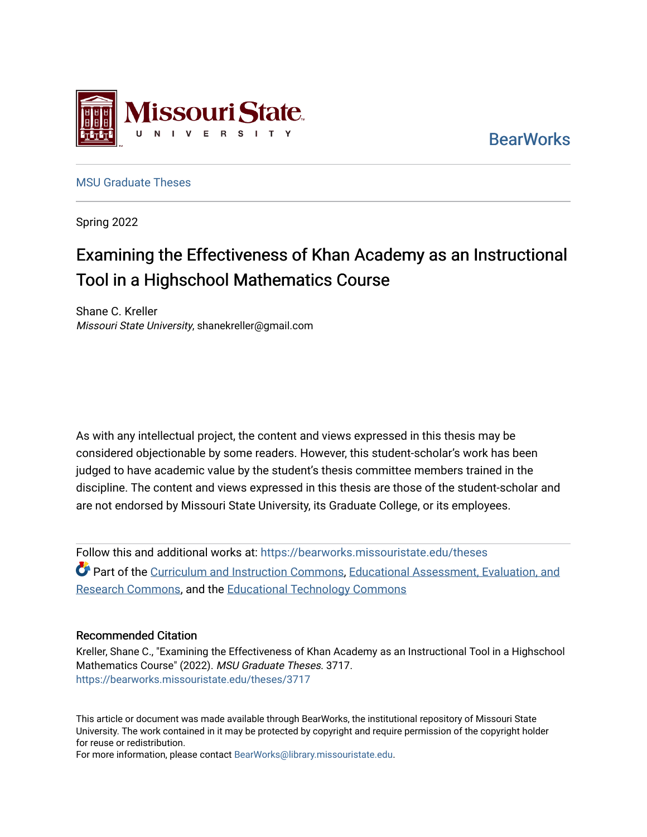

**BearWorks** 

[MSU Graduate Theses](https://bearworks.missouristate.edu/theses) 

Spring 2022

# Examining the Effectiveness of Khan Academy as an Instructional Tool in a Highschool Mathematics Course

Shane C. Kreller Missouri State University, shanekreller@gmail.com

As with any intellectual project, the content and views expressed in this thesis may be considered objectionable by some readers. However, this student-scholar's work has been judged to have academic value by the student's thesis committee members trained in the discipline. The content and views expressed in this thesis are those of the student-scholar and are not endorsed by Missouri State University, its Graduate College, or its employees.

Follow this and additional works at: [https://bearworks.missouristate.edu/theses](https://bearworks.missouristate.edu/theses?utm_source=bearworks.missouristate.edu%2Ftheses%2F3717&utm_medium=PDF&utm_campaign=PDFCoverPages)  Part of the [Curriculum and Instruction Commons,](http://network.bepress.com/hgg/discipline/786?utm_source=bearworks.missouristate.edu%2Ftheses%2F3717&utm_medium=PDF&utm_campaign=PDFCoverPages) [Educational Assessment, Evaluation, and](http://network.bepress.com/hgg/discipline/796?utm_source=bearworks.missouristate.edu%2Ftheses%2F3717&utm_medium=PDF&utm_campaign=PDFCoverPages) [Research Commons,](http://network.bepress.com/hgg/discipline/796?utm_source=bearworks.missouristate.edu%2Ftheses%2F3717&utm_medium=PDF&utm_campaign=PDFCoverPages) and the [Educational Technology Commons](http://network.bepress.com/hgg/discipline/1415?utm_source=bearworks.missouristate.edu%2Ftheses%2F3717&utm_medium=PDF&utm_campaign=PDFCoverPages) 

#### Recommended Citation

Kreller, Shane C., "Examining the Effectiveness of Khan Academy as an Instructional Tool in a Highschool Mathematics Course" (2022). MSU Graduate Theses. 3717. [https://bearworks.missouristate.edu/theses/3717](https://bearworks.missouristate.edu/theses/3717?utm_source=bearworks.missouristate.edu%2Ftheses%2F3717&utm_medium=PDF&utm_campaign=PDFCoverPages) 

This article or document was made available through BearWorks, the institutional repository of Missouri State University. The work contained in it may be protected by copyright and require permission of the copyright holder for reuse or redistribution.

For more information, please contact [BearWorks@library.missouristate.edu.](mailto:BearWorks@library.missouristate.edu)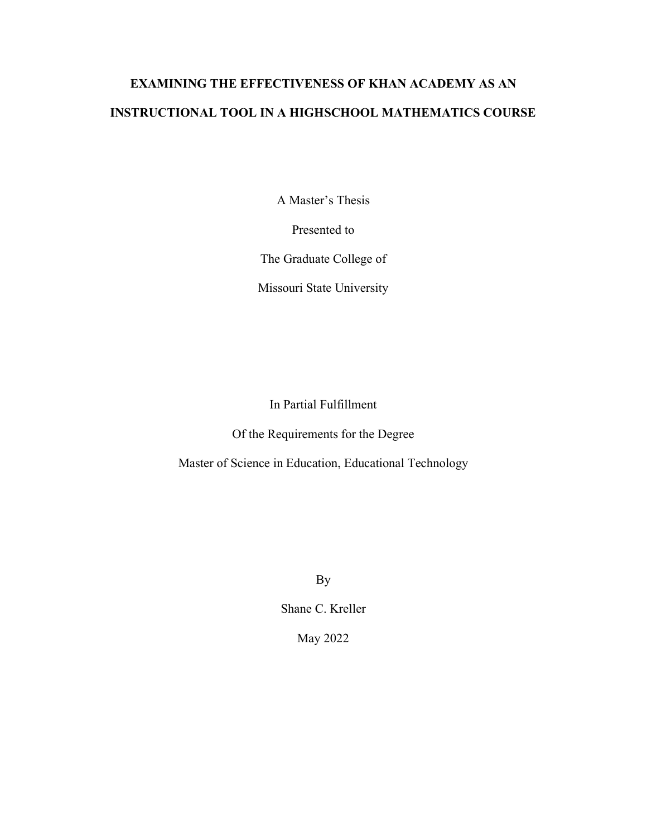# **EXAMINING THE EFFECTIVENESS OF KHAN ACADEMY AS AN INSTRUCTIONAL TOOL IN A HIGHSCHOOL MATHEMATICS COURSE**

A Master's Thesis

Presented to

The Graduate College of

Missouri State University

In Partial Fulfillment

Of the Requirements for the Degree

Master of Science in Education, Educational Technology

By

Shane C. Kreller

May 2022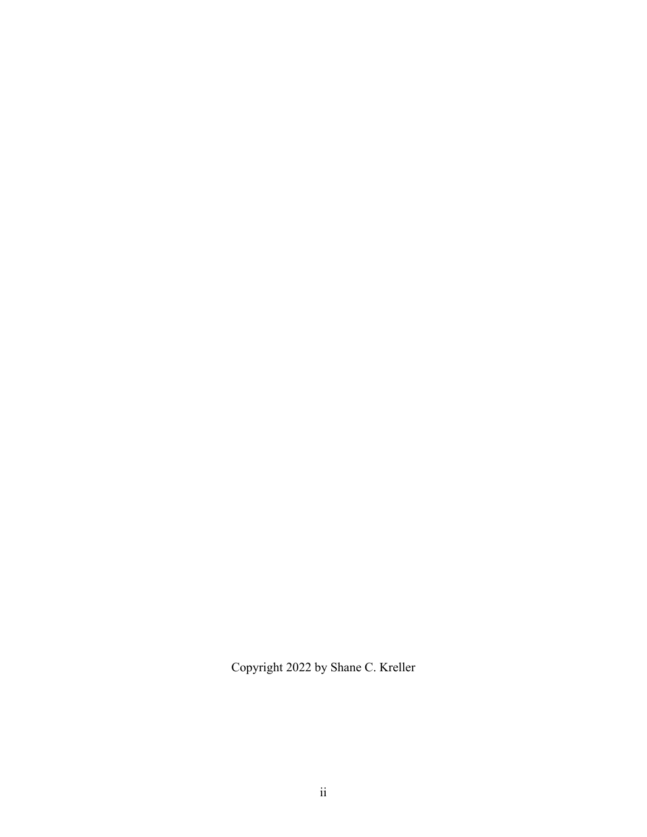Copyright 2022 by Shane C. Kreller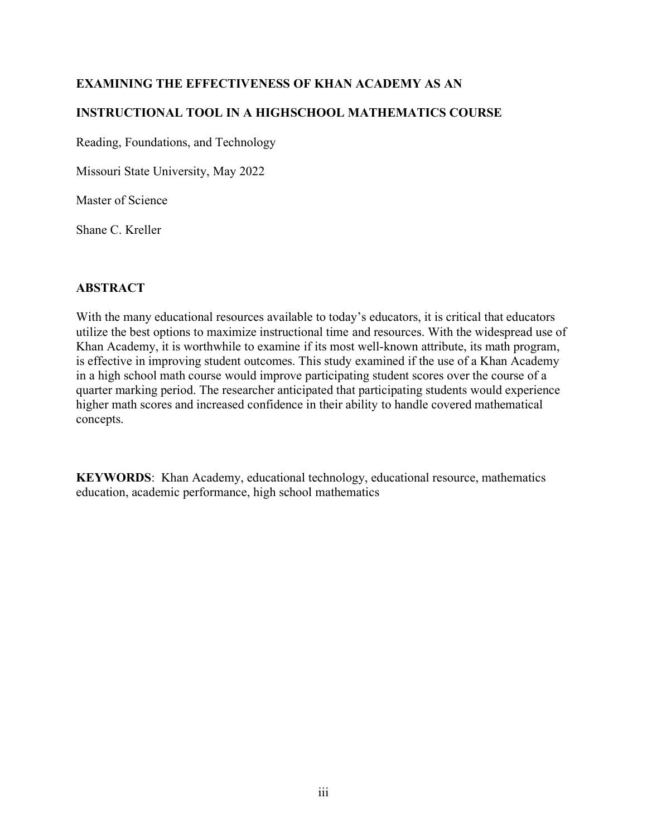# **EXAMINING THE EFFECTIVENESS OF KHAN ACADEMY AS AN**

# **INSTRUCTIONAL TOOL IN A HIGHSCHOOL MATHEMATICS COURSE**

Reading, Foundations, and Technology

Missouri State University, May 2022

Master of Science

Shane C. Kreller

## **ABSTRACT**

With the many educational resources available to today's educators, it is critical that educators utilize the best options to maximize instructional time and resources. With the widespread use of Khan Academy, it is worthwhile to examine if its most well-known attribute, its math program, is effective in improving student outcomes. This study examined if the use of a Khan Academy in a high school math course would improve participating student scores over the course of a quarter marking period. The researcher anticipated that participating students would experience higher math scores and increased confidence in their ability to handle covered mathematical concepts.

**KEYWORDS**: Khan Academy, educational technology, educational resource, mathematics education, academic performance, high school mathematics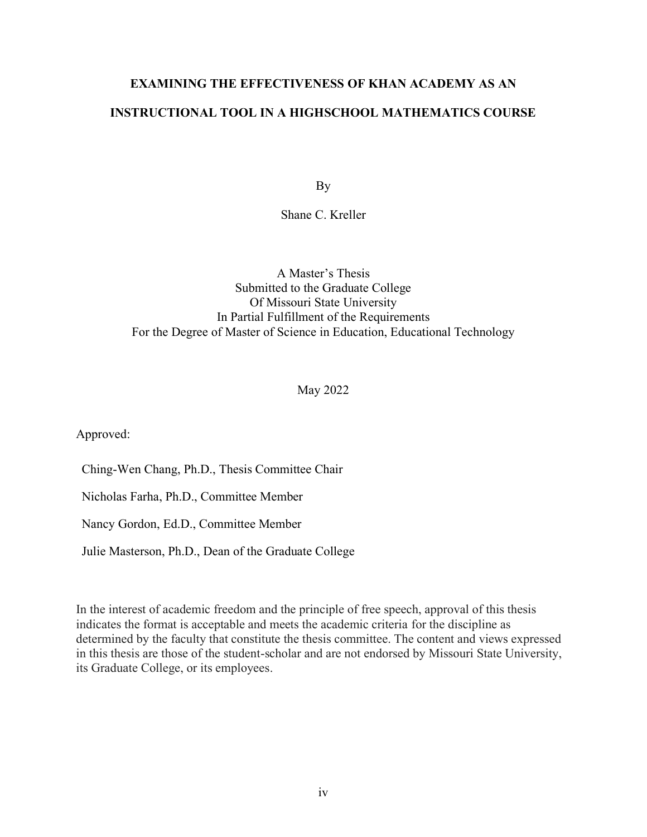# **EXAMINING THE EFFECTIVENESS OF KHAN ACADEMY AS AN INSTRUCTIONAL TOOL IN A HIGHSCHOOL MATHEMATICS COURSE**

By

Shane C. Kreller

## A Master's Thesis Submitted to the Graduate College Of Missouri State University In Partial Fulfillment of the Requirements For the Degree of Master of Science in Education, Educational Technology

May 2022

Approved:

Ching-Wen Chang, Ph.D., Thesis Committee Chair

Nicholas Farha, Ph.D., Committee Member

Nancy Gordon, Ed.D., Committee Member

Julie Masterson, Ph.D., Dean of the Graduate College

In the interest of academic freedom and the principle of free speech, approval of this thesis indicates the format is acceptable and meets the academic criteria for the discipline as determined by the faculty that constitute the thesis committee. The content and views expressed in this thesis are those of the student-scholar and are not endorsed by Missouri State University, its Graduate College, or its employees.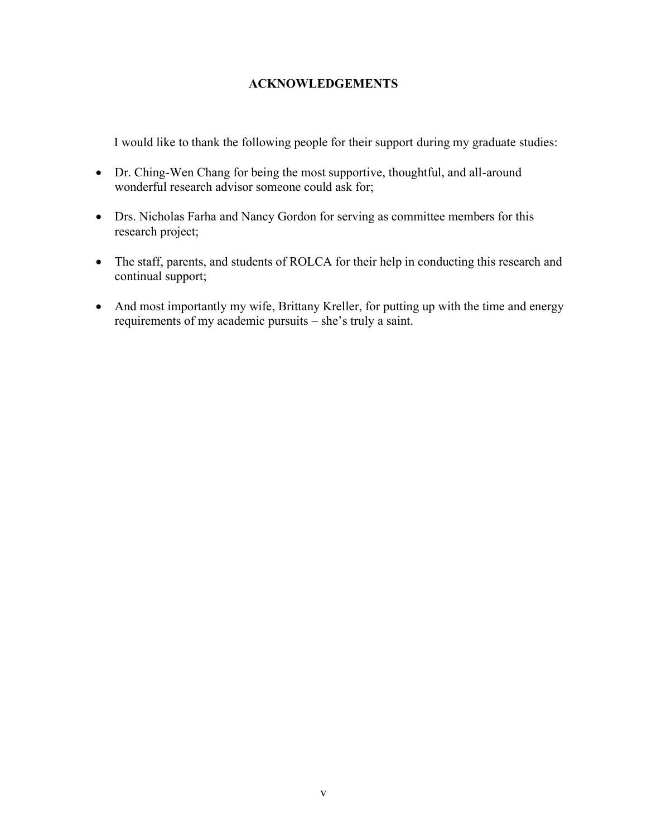## **ACKNOWLEDGEMENTS**

I would like to thank the following people for their support during my graduate studies:

- Dr. Ching-Wen Chang for being the most supportive, thoughtful, and all-around wonderful research advisor someone could ask for;
- Drs. Nicholas Farha and Nancy Gordon for serving as committee members for this research project;
- The staff, parents, and students of ROLCA for their help in conducting this research and continual support;
- And most importantly my wife, Brittany Kreller, for putting up with the time and energy requirements of my academic pursuits – she's truly a saint.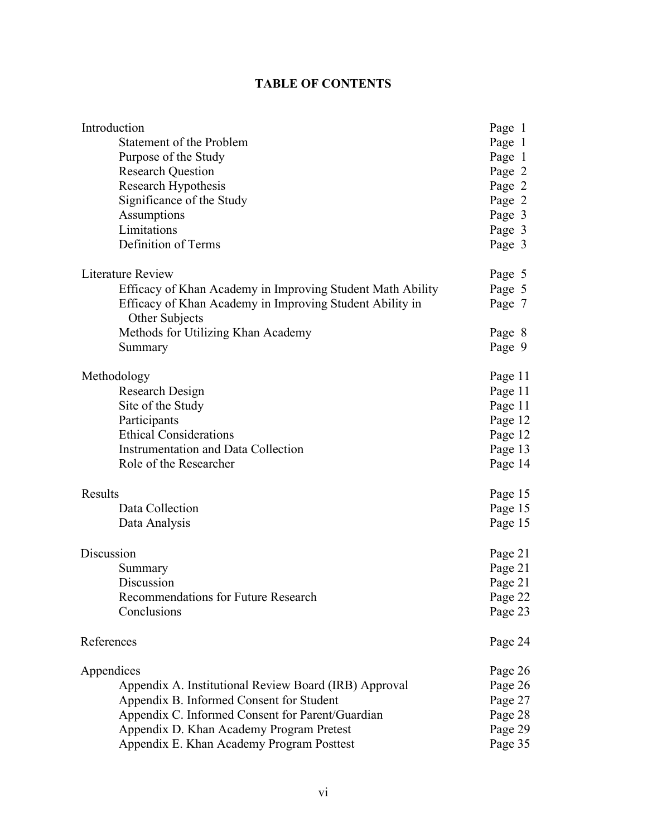# **TABLE OF CONTENTS**

| Introduction                                                               | Page 1  |
|----------------------------------------------------------------------------|---------|
| Statement of the Problem                                                   | Page 1  |
| Purpose of the Study                                                       | Page 1  |
| <b>Research Question</b>                                                   | Page 2  |
| Research Hypothesis                                                        | Page 2  |
| Significance of the Study                                                  | Page 2  |
| Assumptions                                                                | Page 3  |
| Limitations                                                                | Page 3  |
| Definition of Terms                                                        | Page 3  |
| <b>Literature Review</b>                                                   | Page 5  |
| Efficacy of Khan Academy in Improving Student Math Ability                 | Page 5  |
| Efficacy of Khan Academy in Improving Student Ability in<br>Other Subjects | Page 7  |
| Methods for Utilizing Khan Academy                                         | Page 8  |
| Summary                                                                    | Page 9  |
| Methodology                                                                | Page 11 |
| Research Design                                                            | Page 11 |
| Site of the Study                                                          | Page 11 |
| Participants                                                               | Page 12 |
| <b>Ethical Considerations</b>                                              | Page 12 |
| <b>Instrumentation and Data Collection</b>                                 | Page 13 |
| Role of the Researcher                                                     | Page 14 |
| Results                                                                    | Page 15 |
| Data Collection                                                            | Page 15 |
| Data Analysis                                                              | Page 15 |
| Discussion                                                                 | Page 21 |
| Summary                                                                    | Page 21 |
| Discussion                                                                 | Page 21 |
| Recommendations for Future Research                                        | Page 22 |
| Conclusions                                                                | Page 23 |
| References                                                                 | Page 24 |
| Appendices                                                                 | Page 26 |
| Appendix A. Institutional Review Board (IRB) Approval                      | Page 26 |
| Appendix B. Informed Consent for Student                                   | Page 27 |
| Appendix C. Informed Consent for Parent/Guardian                           | Page 28 |
| Appendix D. Khan Academy Program Pretest                                   | Page 29 |
| Appendix E. Khan Academy Program Posttest                                  | Page 35 |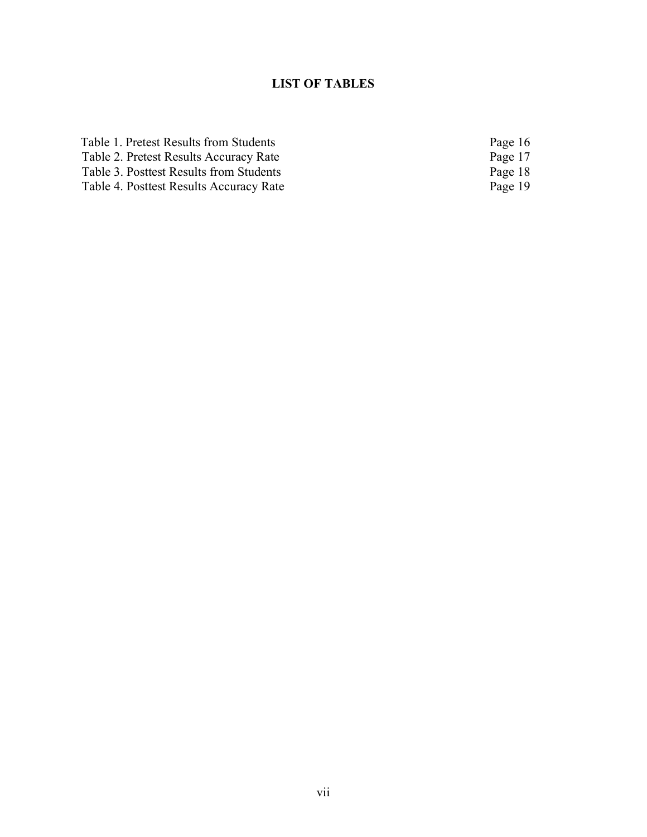# **LIST OF TABLES**

| Table 1. Pretest Results from Students  | Page 16 |
|-----------------------------------------|---------|
| Table 2. Pretest Results Accuracy Rate  | Page 17 |
| Table 3. Posttest Results from Students | Page 18 |
| Table 4. Posttest Results Accuracy Rate | Page 19 |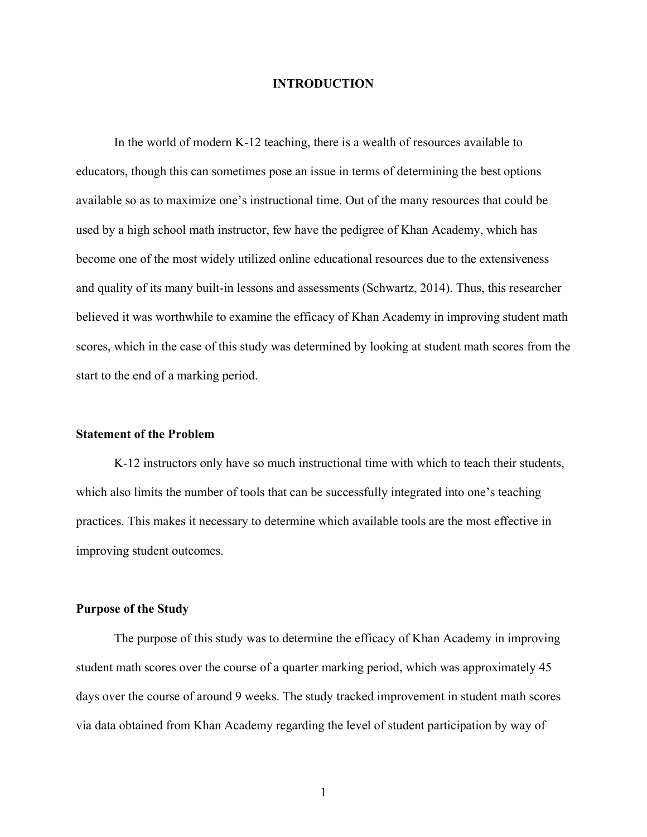#### **INTRODUCTION**

In the world of modern K-12 teaching, there is a wealth of resources available to educators, though this can sometimes pose an issue in terms of determining the best options available so as to maximize one's instructional time. Out of the many resources that could be used by a high school math instructor, few have the pedigree of Khan Academy, which has become one of the most widely utilized online educational resources due to the extensiveness and quality of its many built-in lessons and assessments (Schwartz, 2014). Thus, this researcher believed it was worthwhile to examine the efficacy of Khan Academy in improving student math scores, which in the case of this study was determined by looking at student math scores from the start to the end of a marking period.

#### **Statement of the Problem**

K-12 instructors only have so much instructional time with which to teach their students, which also limits the number of tools that can be successfully integrated into one's teaching practices. This makes it necessary to determine which available tools are the most effective in improving student outcomes.

#### **Purpose of the Study**

The purpose of this study was to determine the efficacy of Khan Academy in improving student math scores over the course of a quarter marking period, which was approximately 45 days over the course of around 9 weeks. The study tracked improvement in student math scores via data obtained from Khan Academy regarding the level of student participation by way of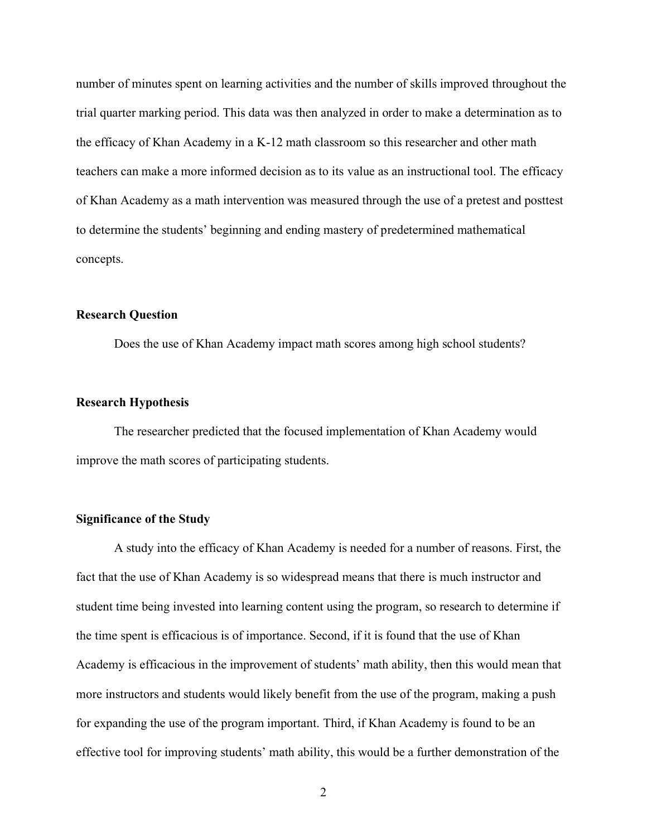number of minutes spent on learning activities and the number of skills improved throughout the trial quarter marking period. This data was then analyzed in order to make a determination as to the efficacy of Khan Academy in a K-12 math classroom so this researcher and other math teachers can make a more informed decision as to its value as an instructional tool. The efficacy of Khan Academy as a math intervention was measured through the use of a pretest and posttest to determine the students' beginning and ending mastery of predetermined mathematical concepts.

#### **Research Question**

Does the use of Khan Academy impact math scores among high school students?

#### **Research Hypothesis**

The researcher predicted that the focused implementation of Khan Academy would improve the math scores of participating students.

#### **Significance of the Study**

A study into the efficacy of Khan Academy is needed for a number of reasons. First, the fact that the use of Khan Academy is so widespread means that there is much instructor and student time being invested into learning content using the program, so research to determine if the time spent is efficacious is of importance. Second, if it is found that the use of Khan Academy is efficacious in the improvement of students' math ability, then this would mean that more instructors and students would likely benefit from the use of the program, making a push for expanding the use of the program important. Third, if Khan Academy is found to be an effective tool for improving students' math ability, this would be a further demonstration of the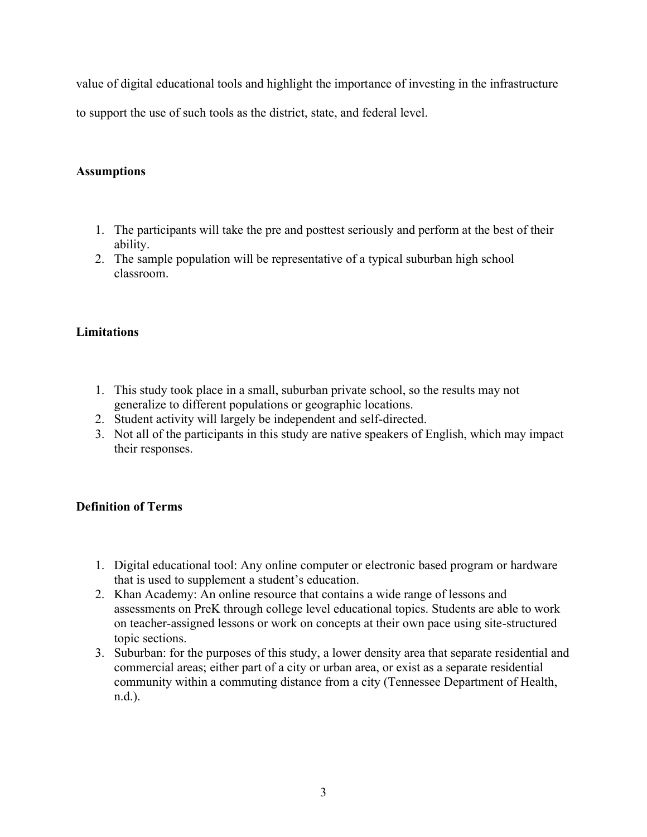value of digital educational tools and highlight the importance of investing in the infrastructure

to support the use of such tools as the district, state, and federal level.

## **Assumptions**

- 1. The participants will take the pre and posttest seriously and perform at the best of their ability.
- 2. The sample population will be representative of a typical suburban high school classroom.

## **Limitations**

- 1. This study took place in a small, suburban private school, so the results may not generalize to different populations or geographic locations.
- 2. Student activity will largely be independent and self-directed.
- 3. Not all of the participants in this study are native speakers of English, which may impact their responses.

## **Definition of Terms**

- 1. Digital educational tool: Any online computer or electronic based program or hardware that is used to supplement a student's education.
- 2. Khan Academy: An online resource that contains a wide range of lessons and assessments on PreK through college level educational topics. Students are able to work on teacher-assigned lessons or work on concepts at their own pace using site-structured topic sections.
- 3. Suburban: for the purposes of this study, a lower density area that separate residential and commercial areas; either part of a city or urban area, or exist as a separate residential community within a commuting distance from a city (Tennessee Department of Health, n.d.).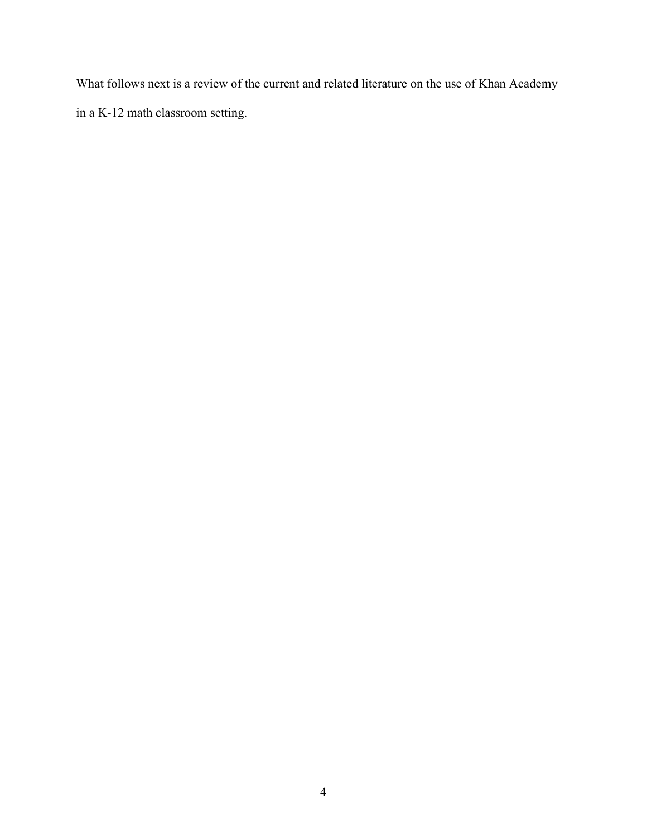What follows next is a review of the current and related literature on the use of Khan Academy in a K-12 math classroom setting.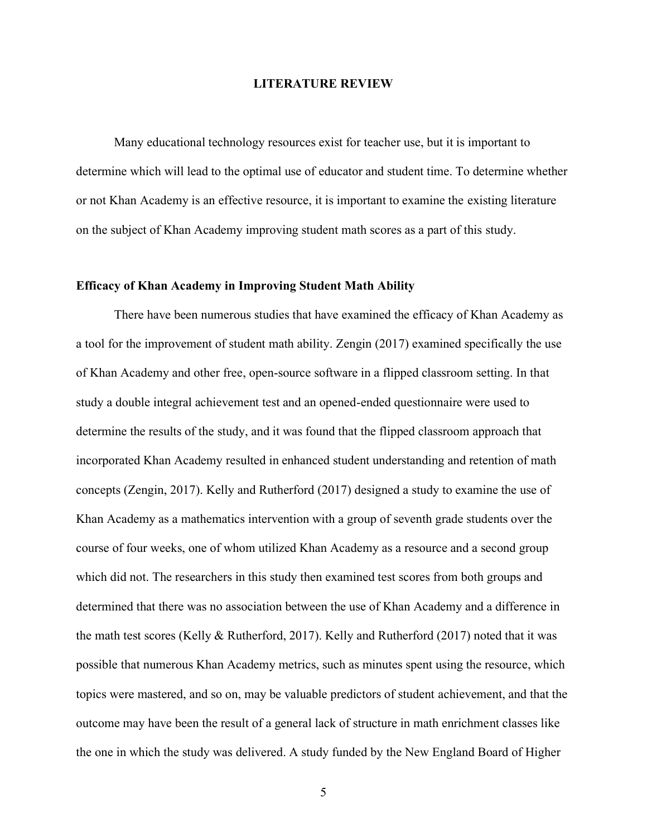#### **LITERATURE REVIEW**

Many educational technology resources exist for teacher use, but it is important to determine which will lead to the optimal use of educator and student time. To determine whether or not Khan Academy is an effective resource, it is important to examine the existing literature on the subject of Khan Academy improving student math scores as a part of this study.

#### **Efficacy of Khan Academy in Improving Student Math Ability**

There have been numerous studies that have examined the efficacy of Khan Academy as a tool for the improvement of student math ability. Zengin (2017) examined specifically the use of Khan Academy and other free, open-source software in a flipped classroom setting. In that study a double integral achievement test and an opened-ended questionnaire were used to determine the results of the study, and it was found that the flipped classroom approach that incorporated Khan Academy resulted in enhanced student understanding and retention of math concepts (Zengin, 2017). Kelly and Rutherford (2017) designed a study to examine the use of Khan Academy as a mathematics intervention with a group of seventh grade students over the course of four weeks, one of whom utilized Khan Academy as a resource and a second group which did not. The researchers in this study then examined test scores from both groups and determined that there was no association between the use of Khan Academy and a difference in the math test scores (Kelly & Rutherford, 2017). Kelly and Rutherford (2017) noted that it was possible that numerous Khan Academy metrics, such as minutes spent using the resource, which topics were mastered, and so on, may be valuable predictors of student achievement, and that the outcome may have been the result of a general lack of structure in math enrichment classes like the one in which the study was delivered. A study funded by the New England Board of Higher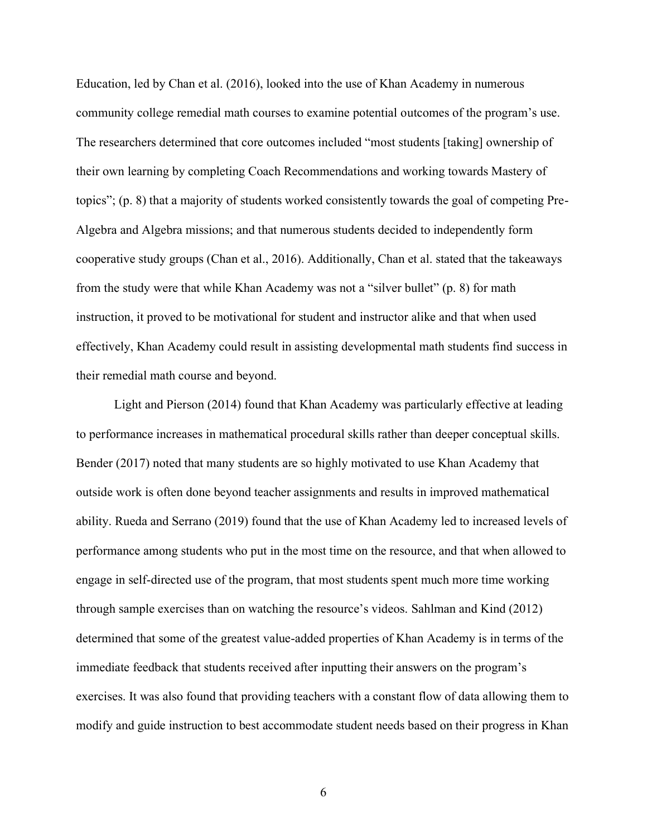Education, led by Chan et al. (2016), looked into the use of Khan Academy in numerous community college remedial math courses to examine potential outcomes of the program's use. The researchers determined that core outcomes included "most students [taking] ownership of their own learning by completing Coach Recommendations and working towards Mastery of topics"; (p. 8) that a majority of students worked consistently towards the goal of competing Pre-Algebra and Algebra missions; and that numerous students decided to independently form cooperative study groups (Chan et al., 2016). Additionally, Chan et al. stated that the takeaways from the study were that while Khan Academy was not a "silver bullet" (p. 8) for math instruction, it proved to be motivational for student and instructor alike and that when used effectively, Khan Academy could result in assisting developmental math students find success in their remedial math course and beyond.

Light and Pierson (2014) found that Khan Academy was particularly effective at leading to performance increases in mathematical procedural skills rather than deeper conceptual skills. Bender (2017) noted that many students are so highly motivated to use Khan Academy that outside work is often done beyond teacher assignments and results in improved mathematical ability. Rueda and Serrano (2019) found that the use of Khan Academy led to increased levels of performance among students who put in the most time on the resource, and that when allowed to engage in self-directed use of the program, that most students spent much more time working through sample exercises than on watching the resource's videos. Sahlman and Kind (2012) determined that some of the greatest value-added properties of Khan Academy is in terms of the immediate feedback that students received after inputting their answers on the program's exercises. It was also found that providing teachers with a constant flow of data allowing them to modify and guide instruction to best accommodate student needs based on their progress in Khan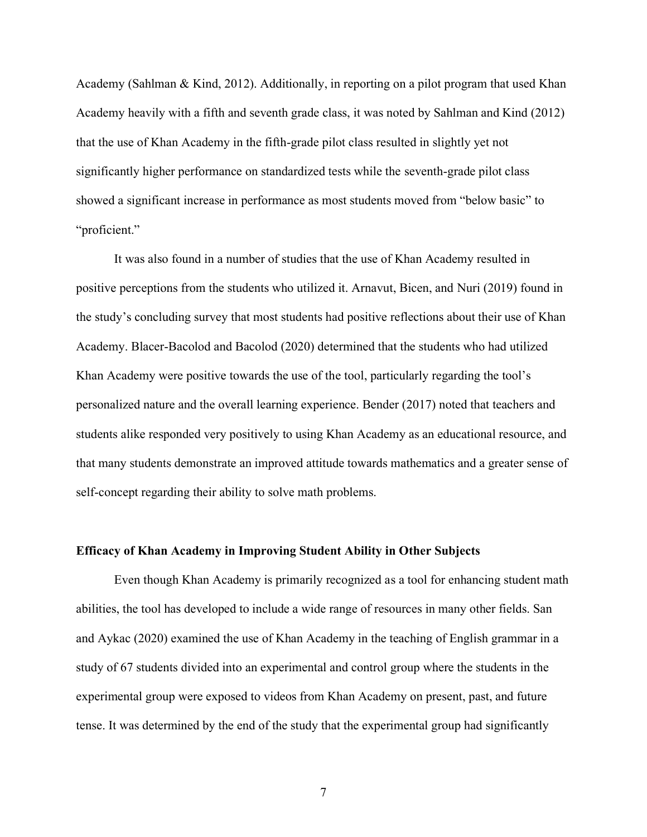Academy (Sahlman & Kind, 2012). Additionally, in reporting on a pilot program that used Khan Academy heavily with a fifth and seventh grade class, it was noted by Sahlman and Kind (2012) that the use of Khan Academy in the fifth-grade pilot class resulted in slightly yet not significantly higher performance on standardized tests while the seventh-grade pilot class showed a significant increase in performance as most students moved from "below basic" to "proficient."

It was also found in a number of studies that the use of Khan Academy resulted in positive perceptions from the students who utilized it. Arnavut, Bicen, and Nuri (2019) found in the study's concluding survey that most students had positive reflections about their use of Khan Academy. Blacer-Bacolod and Bacolod (2020) determined that the students who had utilized Khan Academy were positive towards the use of the tool, particularly regarding the tool's personalized nature and the overall learning experience. Bender (2017) noted that teachers and students alike responded very positively to using Khan Academy as an educational resource, and that many students demonstrate an improved attitude towards mathematics and a greater sense of self-concept regarding their ability to solve math problems.

#### **Efficacy of Khan Academy in Improving Student Ability in Other Subjects**

Even though Khan Academy is primarily recognized as a tool for enhancing student math abilities, the tool has developed to include a wide range of resources in many other fields. San and Aykac (2020) examined the use of Khan Academy in the teaching of English grammar in a study of 67 students divided into an experimental and control group where the students in the experimental group were exposed to videos from Khan Academy on present, past, and future tense. It was determined by the end of the study that the experimental group had significantly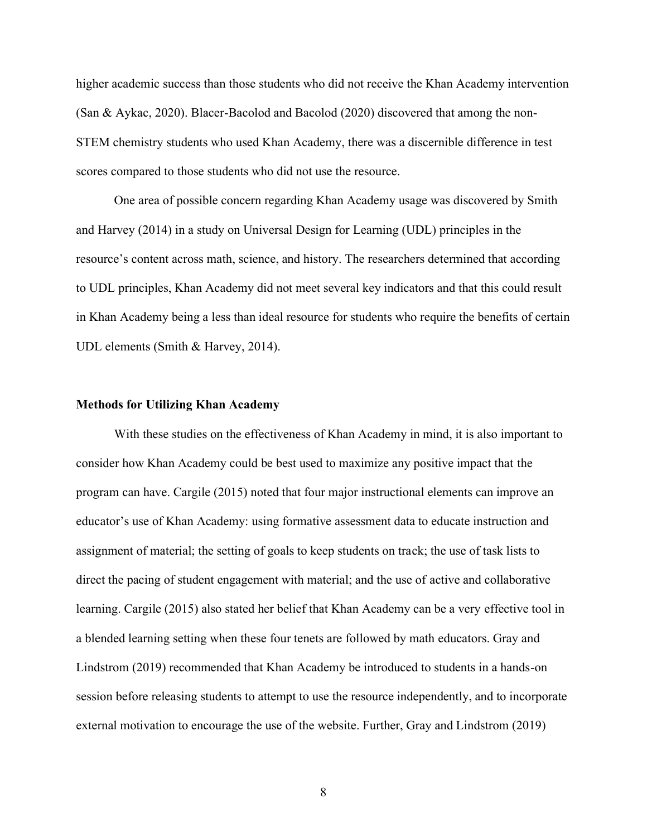higher academic success than those students who did not receive the Khan Academy intervention (San & Aykac, 2020). Blacer-Bacolod and Bacolod (2020) discovered that among the non-STEM chemistry students who used Khan Academy, there was a discernible difference in test scores compared to those students who did not use the resource.

One area of possible concern regarding Khan Academy usage was discovered by Smith and Harvey (2014) in a study on Universal Design for Learning (UDL) principles in the resource's content across math, science, and history. The researchers determined that according to UDL principles, Khan Academy did not meet several key indicators and that this could result in Khan Academy being a less than ideal resource for students who require the benefits of certain UDL elements (Smith & Harvey, 2014).

#### **Methods for Utilizing Khan Academy**

With these studies on the effectiveness of Khan Academy in mind, it is also important to consider how Khan Academy could be best used to maximize any positive impact that the program can have. Cargile (2015) noted that four major instructional elements can improve an educator's use of Khan Academy: using formative assessment data to educate instruction and assignment of material; the setting of goals to keep students on track; the use of task lists to direct the pacing of student engagement with material; and the use of active and collaborative learning. Cargile (2015) also stated her belief that Khan Academy can be a very effective tool in a blended learning setting when these four tenets are followed by math educators. Gray and Lindstrom (2019) recommended that Khan Academy be introduced to students in a hands-on session before releasing students to attempt to use the resource independently, and to incorporate external motivation to encourage the use of the website. Further, Gray and Lindstrom (2019)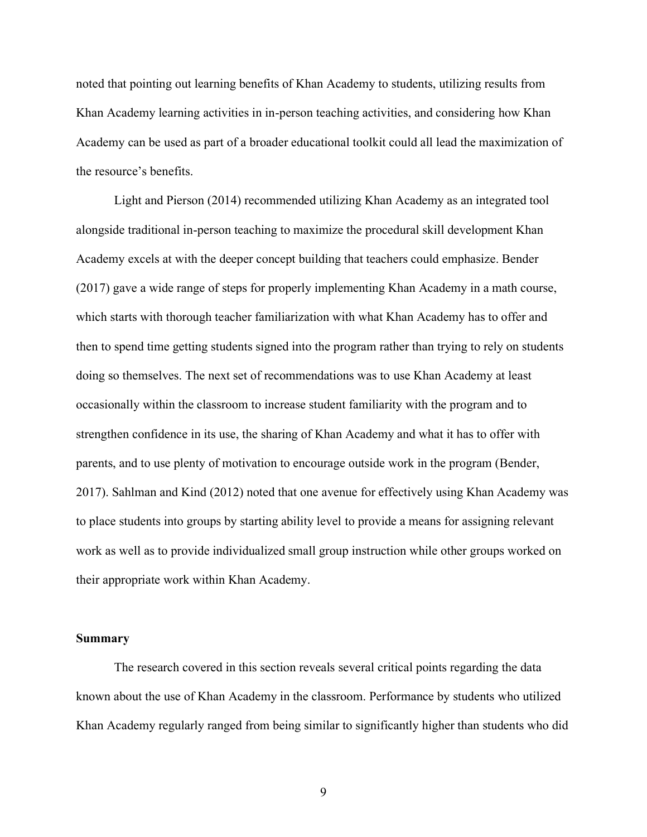noted that pointing out learning benefits of Khan Academy to students, utilizing results from Khan Academy learning activities in in-person teaching activities, and considering how Khan Academy can be used as part of a broader educational toolkit could all lead the maximization of the resource's benefits.

Light and Pierson (2014) recommended utilizing Khan Academy as an integrated tool alongside traditional in-person teaching to maximize the procedural skill development Khan Academy excels at with the deeper concept building that teachers could emphasize. Bender (2017) gave a wide range of steps for properly implementing Khan Academy in a math course, which starts with thorough teacher familiarization with what Khan Academy has to offer and then to spend time getting students signed into the program rather than trying to rely on students doing so themselves. The next set of recommendations was to use Khan Academy at least occasionally within the classroom to increase student familiarity with the program and to strengthen confidence in its use, the sharing of Khan Academy and what it has to offer with parents, and to use plenty of motivation to encourage outside work in the program (Bender, 2017). Sahlman and Kind (2012) noted that one avenue for effectively using Khan Academy was to place students into groups by starting ability level to provide a means for assigning relevant work as well as to provide individualized small group instruction while other groups worked on their appropriate work within Khan Academy.

#### **Summary**

The research covered in this section reveals several critical points regarding the data known about the use of Khan Academy in the classroom. Performance by students who utilized Khan Academy regularly ranged from being similar to significantly higher than students who did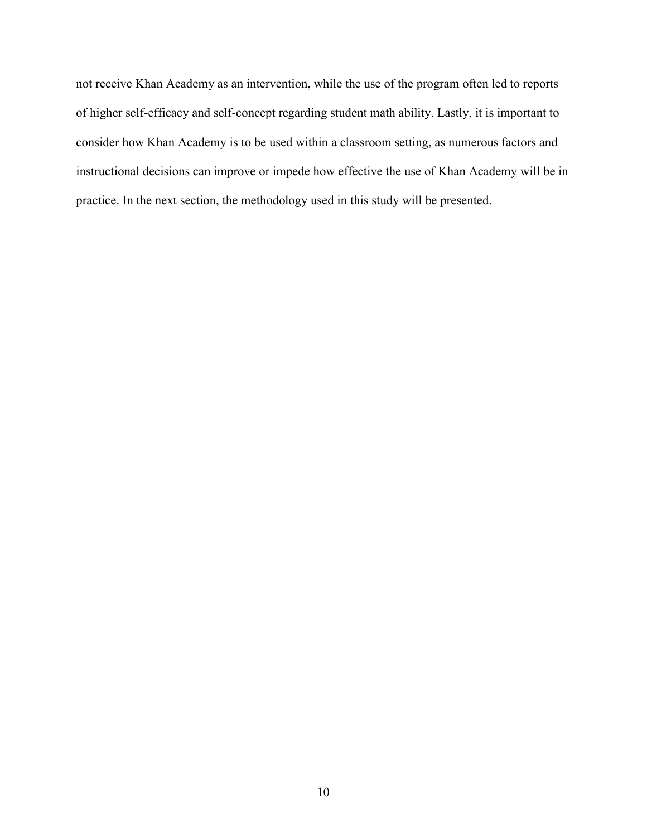not receive Khan Academy as an intervention, while the use of the program often led to reports of higher self-efficacy and self-concept regarding student math ability. Lastly, it is important to consider how Khan Academy is to be used within a classroom setting, as numerous factors and instructional decisions can improve or impede how effective the use of Khan Academy will be in practice. In the next section, the methodology used in this study will be presented.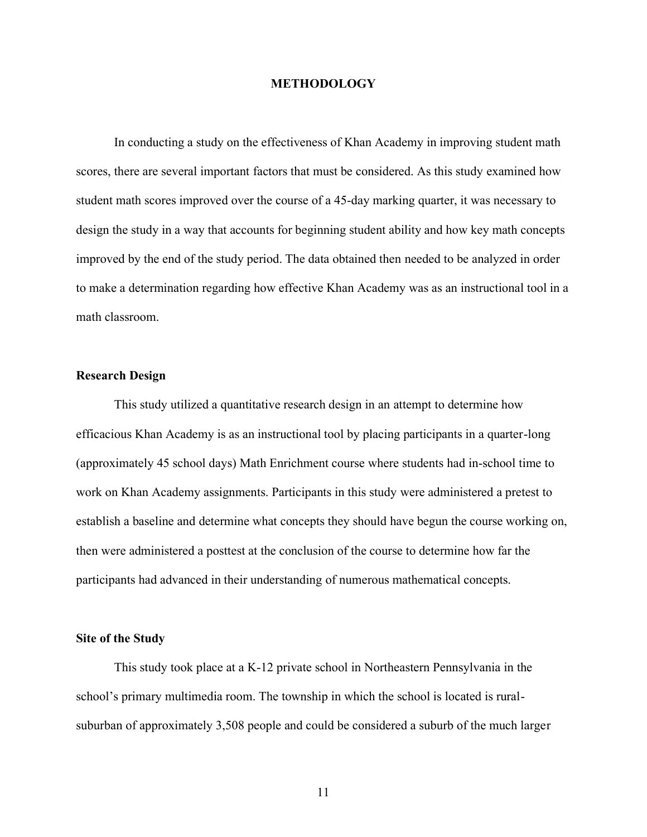#### **METHODOLOGY**

In conducting a study on the effectiveness of Khan Academy in improving student math scores, there are several important factors that must be considered. As this study examined how student math scores improved over the course of a 45-day marking quarter, it was necessary to design the study in a way that accounts for beginning student ability and how key math concepts improved by the end of the study period. The data obtained then needed to be analyzed in order to make a determination regarding how effective Khan Academy was as an instructional tool in a math classroom.

#### **Research Design**

This study utilized a quantitative research design in an attempt to determine how efficacious Khan Academy is as an instructional tool by placing participants in a quarter-long (approximately 45 school days) Math Enrichment course where students had in-school time to work on Khan Academy assignments. Participants in this study were administered a pretest to establish a baseline and determine what concepts they should have begun the course working on, then were administered a posttest at the conclusion of the course to determine how far the participants had advanced in their understanding of numerous mathematical concepts.

#### **Site of the Study**

This study took place at a K-12 private school in Northeastern Pennsylvania in the school's primary multimedia room. The township in which the school is located is ruralsuburban of approximately 3,508 people and could be considered a suburb of the much larger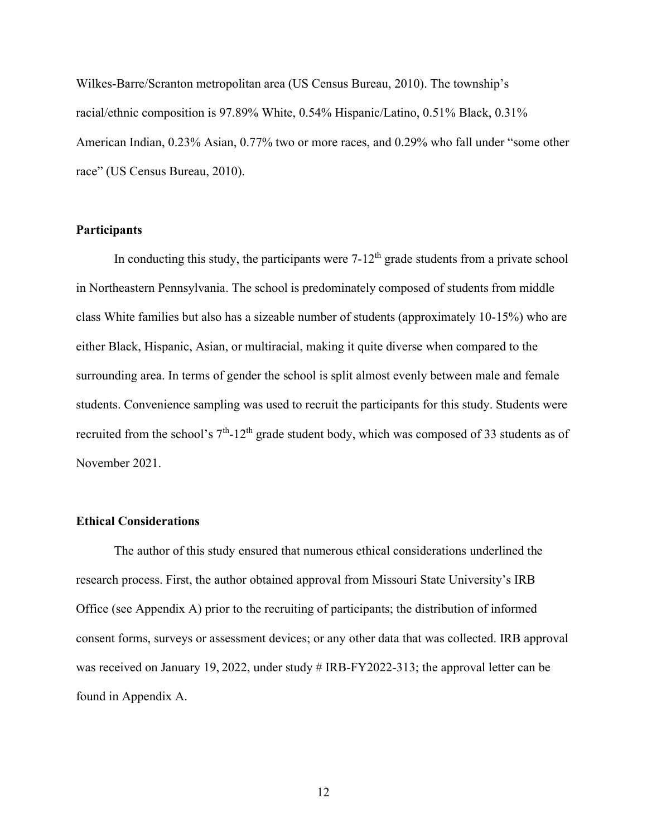Wilkes-Barre/Scranton metropolitan area (US Census Bureau, 2010). The township's racial/ethnic composition is 97.89% White, 0.54% Hispanic/Latino, 0.51% Black, 0.31% American Indian, 0.23% Asian, 0.77% two or more races, and 0.29% who fall under "some other race" (US Census Bureau, 2010).

#### **Participants**

In conducting this study, the participants were  $7-12<sup>th</sup>$  grade students from a private school in Northeastern Pennsylvania. The school is predominately composed of students from middle class White families but also has a sizeable number of students (approximately 10-15%) who are either Black, Hispanic, Asian, or multiracial, making it quite diverse when compared to the surrounding area. In terms of gender the school is split almost evenly between male and female students. Convenience sampling was used to recruit the participants for this study. Students were recruited from the school's  $7<sup>th</sup>$ -12<sup>th</sup> grade student body, which was composed of 33 students as of November 2021.

#### **Ethical Considerations**

The author of this study ensured that numerous ethical considerations underlined the research process. First, the author obtained approval from Missouri State University's IRB Office (see Appendix A) prior to the recruiting of participants; the distribution of informed consent forms, surveys or assessment devices; or any other data that was collected. IRB approval was received on January 19, 2022, under study # IRB-FY2022-313; the approval letter can be found in Appendix A.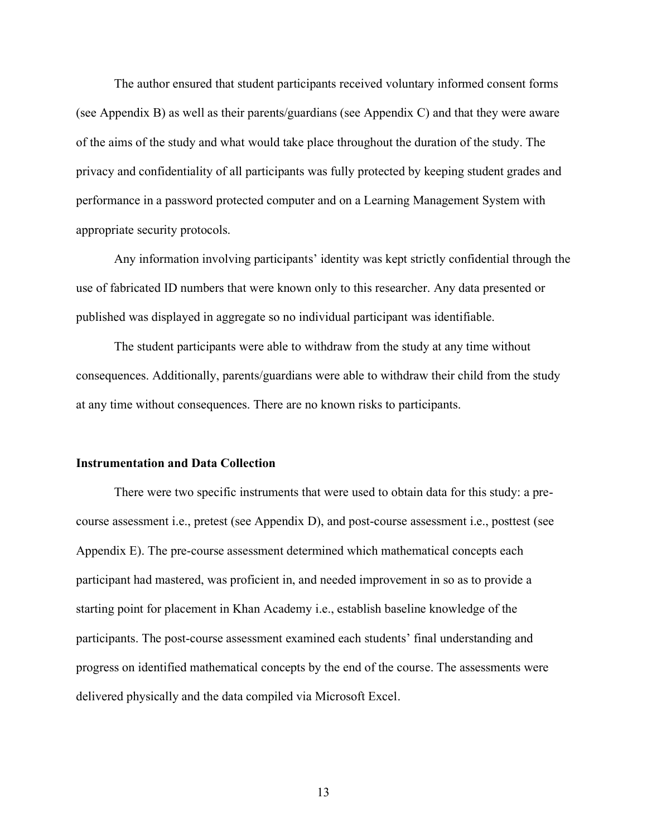The author ensured that student participants received voluntary informed consent forms (see Appendix B) as well as their parents/guardians (see Appendix C) and that they were aware of the aims of the study and what would take place throughout the duration of the study. The privacy and confidentiality of all participants was fully protected by keeping student grades and performance in a password protected computer and on a Learning Management System with appropriate security protocols.

Any information involving participants' identity was kept strictly confidential through the use of fabricated ID numbers that were known only to this researcher. Any data presented or published was displayed in aggregate so no individual participant was identifiable.

The student participants were able to withdraw from the study at any time without consequences. Additionally, parents/guardians were able to withdraw their child from the study at any time without consequences. There are no known risks to participants.

#### **Instrumentation and Data Collection**

There were two specific instruments that were used to obtain data for this study: a precourse assessment i.e., pretest (see Appendix D), and post-course assessment i.e., posttest (see Appendix E). The pre-course assessment determined which mathematical concepts each participant had mastered, was proficient in, and needed improvement in so as to provide a starting point for placement in Khan Academy i.e., establish baseline knowledge of the participants. The post-course assessment examined each students' final understanding and progress on identified mathematical concepts by the end of the course. The assessments were delivered physically and the data compiled via Microsoft Excel.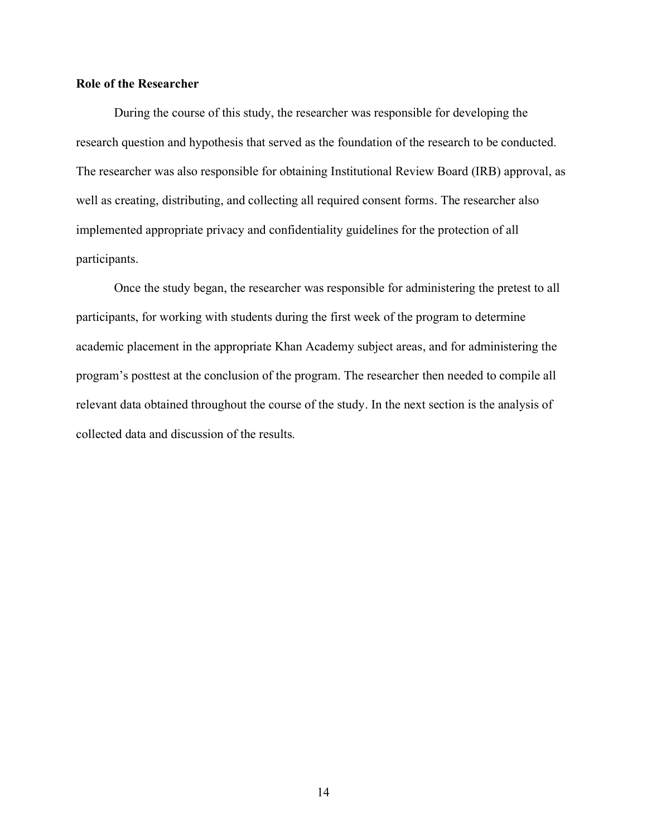#### **Role of the Researcher**

During the course of this study, the researcher was responsible for developing the research question and hypothesis that served as the foundation of the research to be conducted. The researcher was also responsible for obtaining Institutional Review Board (IRB) approval, as well as creating, distributing, and collecting all required consent forms. The researcher also implemented appropriate privacy and confidentiality guidelines for the protection of all participants.

Once the study began, the researcher was responsible for administering the pretest to all participants, for working with students during the first week of the program to determine academic placement in the appropriate Khan Academy subject areas, and for administering the program's posttest at the conclusion of the program. The researcher then needed to compile all relevant data obtained throughout the course of the study. In the next section is the analysis of collected data and discussion of the results.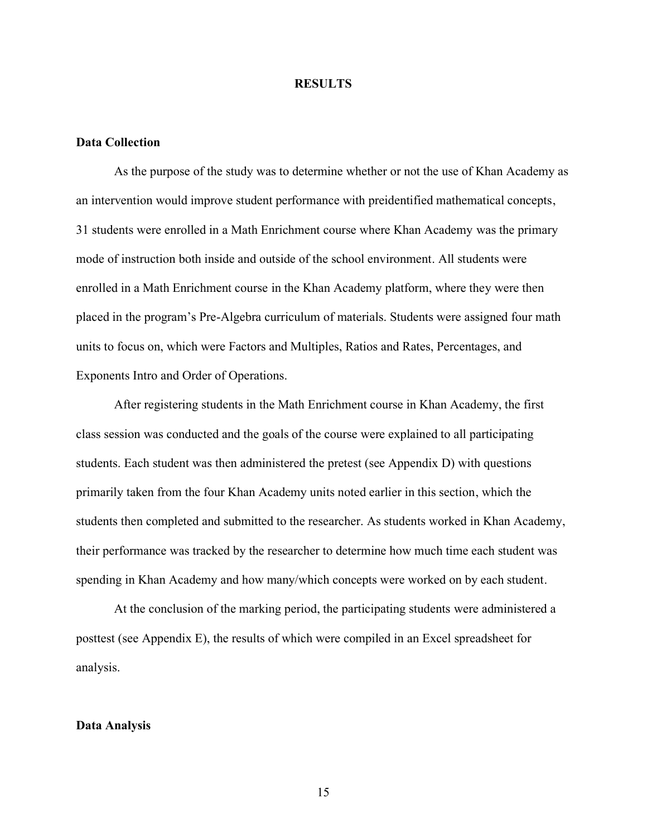#### **RESULTS**

### **Data Collection**

As the purpose of the study was to determine whether or not the use of Khan Academy as an intervention would improve student performance with preidentified mathematical concepts, 31 students were enrolled in a Math Enrichment course where Khan Academy was the primary mode of instruction both inside and outside of the school environment. All students were enrolled in a Math Enrichment course in the Khan Academy platform, where they were then placed in the program's Pre-Algebra curriculum of materials. Students were assigned four math units to focus on, which were Factors and Multiples, Ratios and Rates, Percentages, and Exponents Intro and Order of Operations.

After registering students in the Math Enrichment course in Khan Academy, the first class session was conducted and the goals of the course were explained to all participating students. Each student was then administered the pretest (see Appendix D) with questions primarily taken from the four Khan Academy units noted earlier in this section, which the students then completed and submitted to the researcher. As students worked in Khan Academy, their performance was tracked by the researcher to determine how much time each student was spending in Khan Academy and how many/which concepts were worked on by each student.

At the conclusion of the marking period, the participating students were administered a posttest (see Appendix E), the results of which were compiled in an Excel spreadsheet for analysis.

#### **Data Analysis**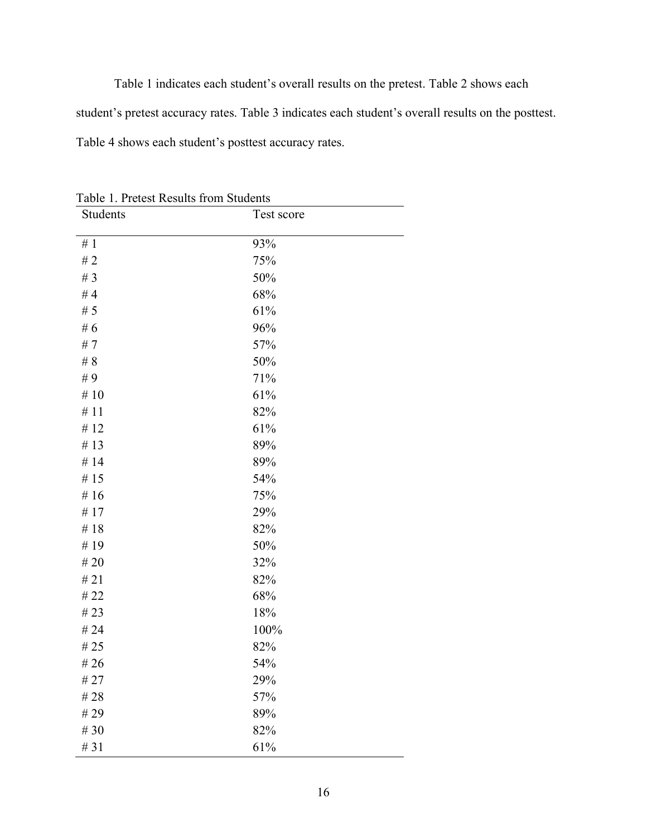Table 1 indicates each student's overall results on the pretest. Table 2 shows each student's pretest accuracy rates. Table 3 indicates each student's overall results on the posttest. Table 4 shows each student's posttest accuracy rates.

Students Test score  $# 1$  93%  $#2$  75%  $\# 3$  50%  $#4$  68%  $# 5$  61% # 6 96%  $#7$  57%  $\# 8$  50%  $#9$  71%  $\# 10$  61%  $#11$  82%  $\# 12$  61%  $\# 13$  89%  $\# 14$  89%  $# 15$  54%  $# 16$  75%  $# 17$  29%  $#18$  82%  $\# 19$  50%  $\# 20$  32%  $# 21$  82%  $#22$  68%  $\# 23$  18%  $\# 24$  100%  $# 25$  82%  $\# 26$  54%  $# 27$  29%  $\# 28$  57%  $#29$  89%  $#30$  82%  $\#31$  61%

Table 1. Pretest Results from Students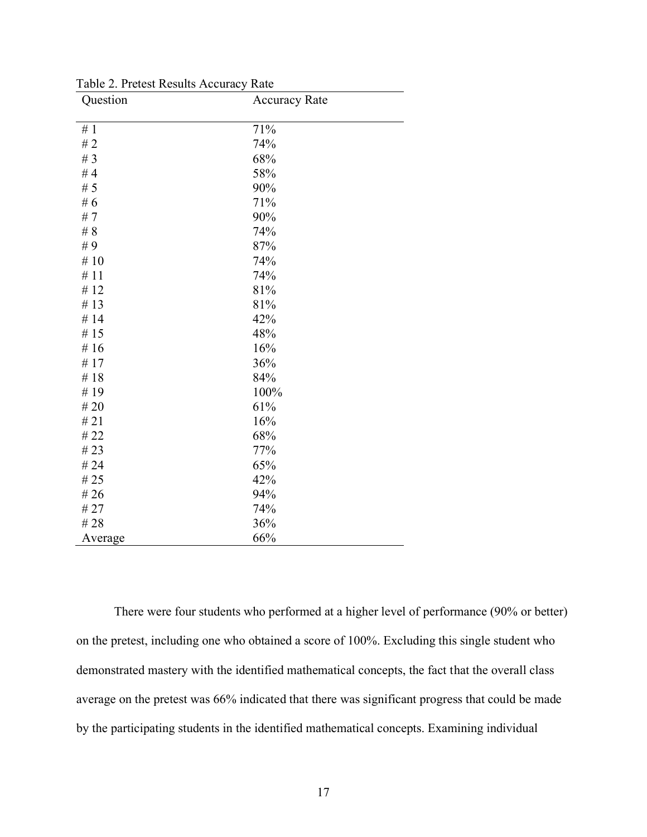| Question | <b>Accuracy Rate</b> |  |
|----------|----------------------|--|
| #1       | 71%                  |  |
| #2       | 74%                  |  |
| # $3$    | 68%                  |  |
| #4       | 58%                  |  |
| # $5$    | 90%                  |  |
| # $6$    | 71%                  |  |
| #7       | 90%                  |  |
| # $8$    | 74%                  |  |
| $\#$ 9   | 87%                  |  |
| # $10$   | 74%                  |  |
| #11      | 74%                  |  |
| #12      | 81%                  |  |
| #13      | 81%                  |  |
| #14      | 42%                  |  |
| #15      | 48%                  |  |
| #16      | 16%                  |  |
| #17      | 36%                  |  |
| #18      | 84%                  |  |
| #19      | 100%                 |  |
| $\#$ 20  | 61%                  |  |
| # $21$   | 16%                  |  |
| # 22     | 68%                  |  |
| # 23     | 77%                  |  |
| # 24     | 65%                  |  |
| #25      | 42%                  |  |
| #26      | 94%                  |  |
| # 27     | 74%                  |  |
| #28      | 36%                  |  |
| Average  | 66%                  |  |

Table 2. Pretest Results Accuracy Rate

There were four students who performed at a higher level of performance (90% or better) on the pretest, including one who obtained a score of 100%. Excluding this single student who demonstrated mastery with the identified mathematical concepts, the fact that the overall class average on the pretest was 66% indicated that there was significant progress that could be made by the participating students in the identified mathematical concepts. Examining individual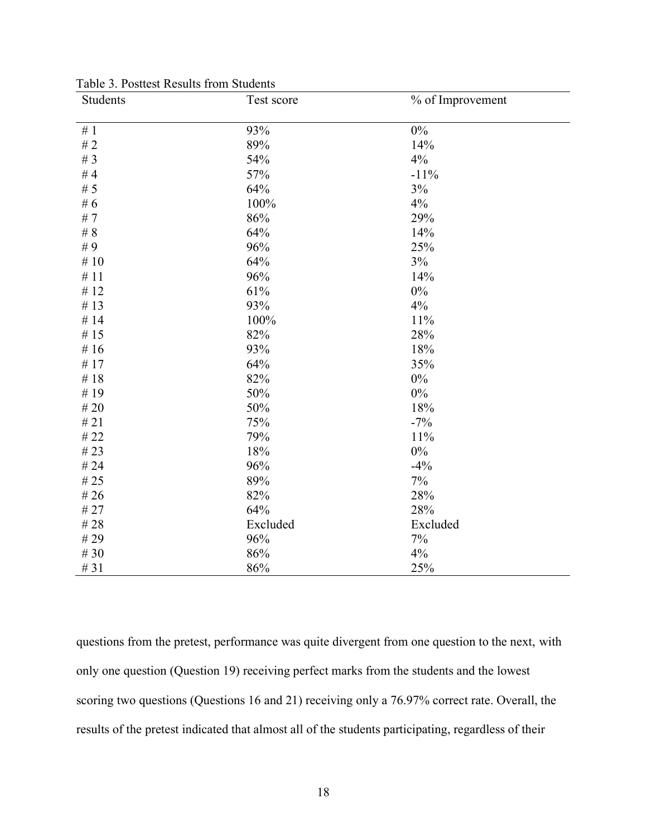| Students | Test score | % of Improvement |
|----------|------------|------------------|
| # $1$    | 93%        | $0\%$            |
| # $2$    | 89%        | 14%              |
| # $3$    | 54%        | 4%               |
| #4       | 57%        | $-11%$           |
| # $5$    | 64%        | 3%               |
| # $6$    | 100%       | 4%               |
| # $7$    | 86%        | 29%              |
| # $8$    | 64%        | 14%              |
| #9       | 96%        | 25%              |
| # $10$   | 64%        | 3%               |
| #11      | 96%        | 14%              |
| # $12$   | 61%        | $0\%$            |
| # $13$   | 93%        | 4%               |
| #14      | 100%       | 11%              |
| # $15$   | 82%        | 28%              |
| # $16$   | 93%        | 18%              |
| # $17$   | 64%        | 35%              |
| #18      | 82%        | 0%               |
| #19      | 50%        | $0\%$            |
| $\#$ 20  | 50%        | 18%              |
| # $21$   | 75%        | $-7%$            |
| $\#$ 22  | 79%        | 11%              |
| # $23$   | 18%        | $0\%$            |
| #24      | 96%        | $-4%$            |
| # $25$   | 89%        | 7%               |
| # $26$   | 82%        | 28%              |
| #27      | 64%        | 28%              |
| #28      | Excluded   | Excluded         |
| #29      | 96%        | $7\%$            |
| # $30$   | 86%        | 4%               |
| # 31     | 86%        | 25%              |

Table 3. Posttest Results from Students

questions from the pretest, performance was quite divergent from one question to the next, with only one question (Question 19) receiving perfect marks from the students and the lowest scoring two questions (Questions 16 and 21) receiving only a 76.97% correct rate. Overall, the results of the pretest indicated that almost all of the students participating, regardless of their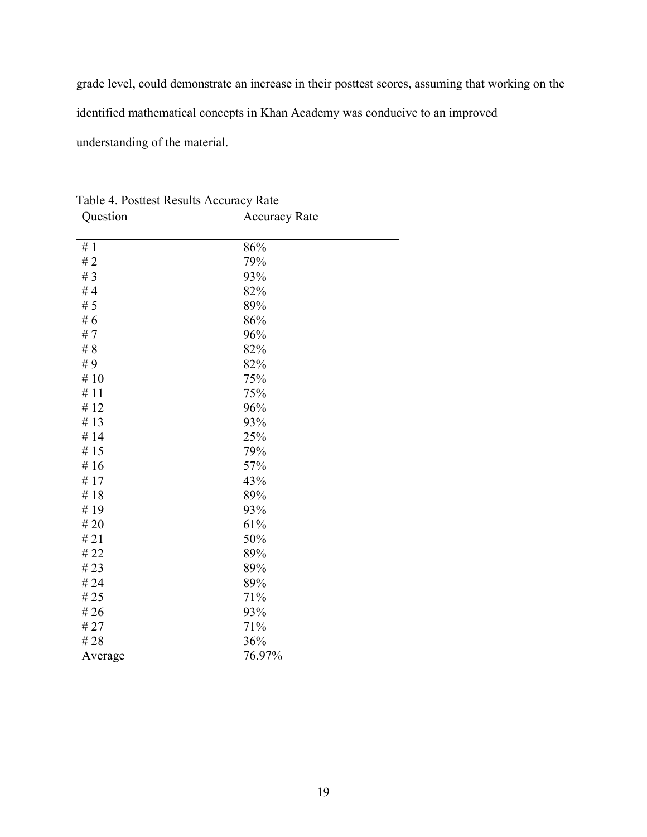grade level, could demonstrate an increase in their posttest scores, assuming that working on the identified mathematical concepts in Khan Academy was conducive to an improved understanding of the material.

| Table 4. Postiest Results Accuracy Rate<br>Question | <b>Accuracy Rate</b> |
|-----------------------------------------------------|----------------------|
|                                                     |                      |
| #1                                                  | 86%                  |
| #2                                                  | 79%                  |
| # $3$                                               | 93%                  |
| #4                                                  | 82%                  |
| # $5$                                               | 89%                  |
| #6                                                  | 86%                  |
| #7                                                  | 96%                  |
| #8                                                  | 82%                  |
| #9                                                  | 82%                  |
| #10                                                 | 75%                  |
| #11                                                 | 75%                  |
| #12                                                 | 96%                  |
| #13                                                 | 93%                  |
| #14                                                 | 25%                  |
| #15                                                 | 79%                  |
| #16                                                 | 57%                  |
| #17                                                 | 43%                  |
| #18                                                 | 89%                  |
| #19                                                 | 93%                  |
| #20                                                 | 61%                  |
| #21                                                 | 50%                  |
| # 22                                                | 89%                  |
| #23                                                 | 89%                  |
| # 24                                                | 89%                  |
| # 25                                                | 71%                  |
| # 26                                                | 93%                  |
| # 27                                                | 71%                  |
| #28                                                 | 36%                  |
| Average                                             | 76.97%               |

Table 4. Posttest Results Accuracy Rate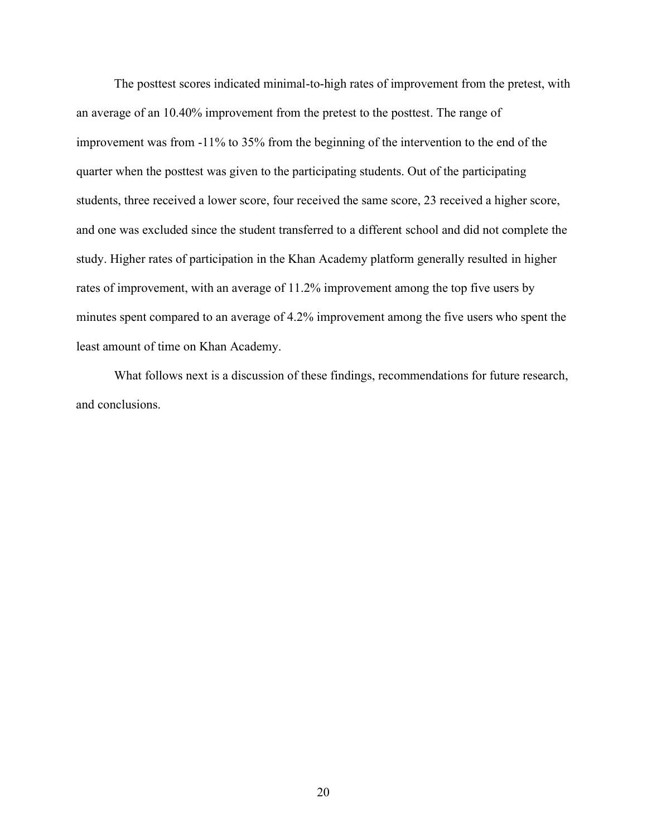The posttest scores indicated minimal-to-high rates of improvement from the pretest, with an average of an 10.40% improvement from the pretest to the posttest. The range of improvement was from -11% to 35% from the beginning of the intervention to the end of the quarter when the posttest was given to the participating students. Out of the participating students, three received a lower score, four received the same score, 23 received a higher score, and one was excluded since the student transferred to a different school and did not complete the study. Higher rates of participation in the Khan Academy platform generally resulted in higher rates of improvement, with an average of 11.2% improvement among the top five users by minutes spent compared to an average of 4.2% improvement among the five users who spent the least amount of time on Khan Academy.

What follows next is a discussion of these findings, recommendations for future research, and conclusions.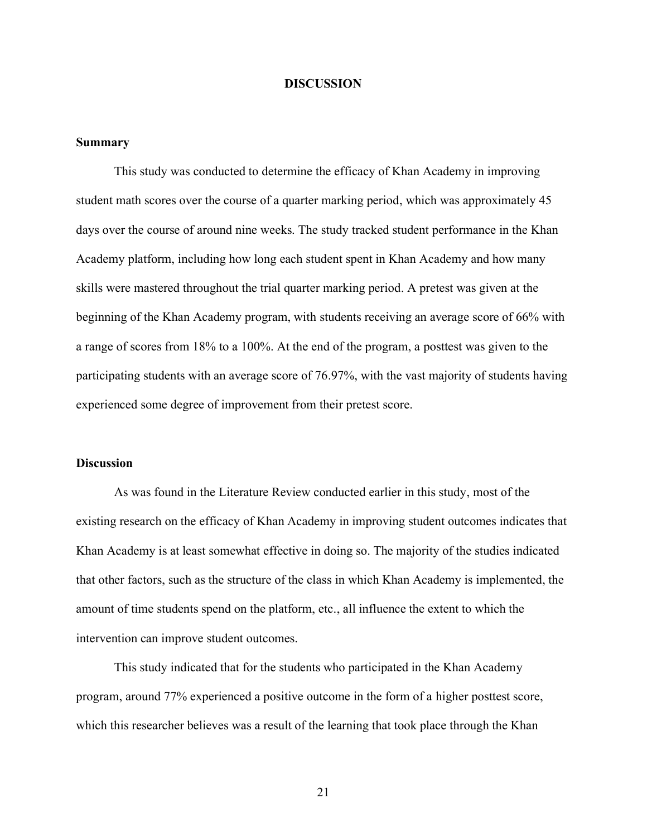#### **DISCUSSION**

#### **Summary**

This study was conducted to determine the efficacy of Khan Academy in improving student math scores over the course of a quarter marking period, which was approximately 45 days over the course of around nine weeks. The study tracked student performance in the Khan Academy platform, including how long each student spent in Khan Academy and how many skills were mastered throughout the trial quarter marking period. A pretest was given at the beginning of the Khan Academy program, with students receiving an average score of 66% with a range of scores from 18% to a 100%. At the end of the program, a posttest was given to the participating students with an average score of 76.97%, with the vast majority of students having experienced some degree of improvement from their pretest score.

#### **Discussion**

As was found in the Literature Review conducted earlier in this study, most of the existing research on the efficacy of Khan Academy in improving student outcomes indicates that Khan Academy is at least somewhat effective in doing so. The majority of the studies indicated that other factors, such as the structure of the class in which Khan Academy is implemented, the amount of time students spend on the platform, etc., all influence the extent to which the intervention can improve student outcomes.

This study indicated that for the students who participated in the Khan Academy program, around 77% experienced a positive outcome in the form of a higher posttest score, which this researcher believes was a result of the learning that took place through the Khan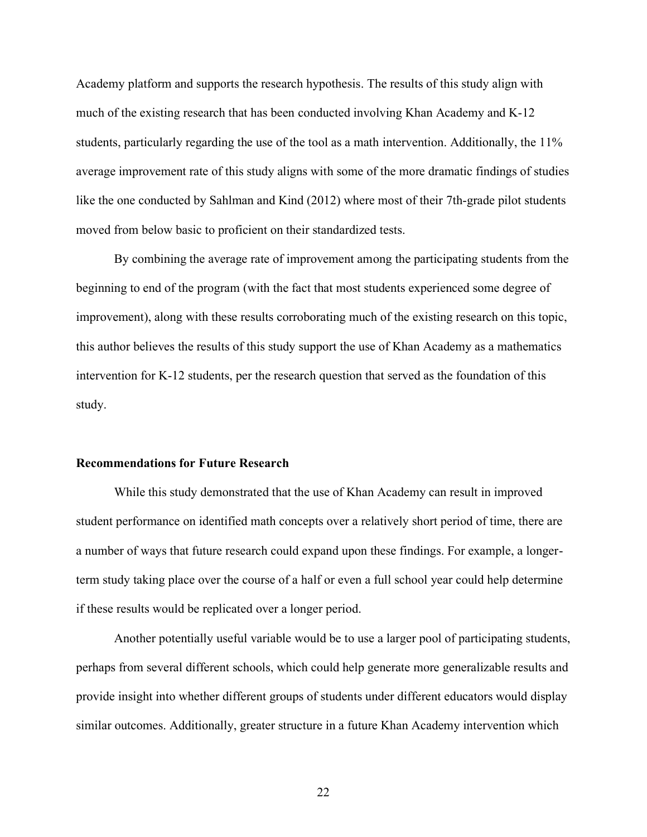Academy platform and supports the research hypothesis. The results of this study align with much of the existing research that has been conducted involving Khan Academy and K-12 students, particularly regarding the use of the tool as a math intervention. Additionally, the 11% average improvement rate of this study aligns with some of the more dramatic findings of studies like the one conducted by Sahlman and Kind (2012) where most of their 7th-grade pilot students moved from below basic to proficient on their standardized tests.

By combining the average rate of improvement among the participating students from the beginning to end of the program (with the fact that most students experienced some degree of improvement), along with these results corroborating much of the existing research on this topic, this author believes the results of this study support the use of Khan Academy as a mathematics intervention for K-12 students, per the research question that served as the foundation of this study.

#### **Recommendations for Future Research**

While this study demonstrated that the use of Khan Academy can result in improved student performance on identified math concepts over a relatively short period of time, there are a number of ways that future research could expand upon these findings. For example, a longerterm study taking place over the course of a half or even a full school year could help determine if these results would be replicated over a longer period.

Another potentially useful variable would be to use a larger pool of participating students, perhaps from several different schools, which could help generate more generalizable results and provide insight into whether different groups of students under different educators would display similar outcomes. Additionally, greater structure in a future Khan Academy intervention which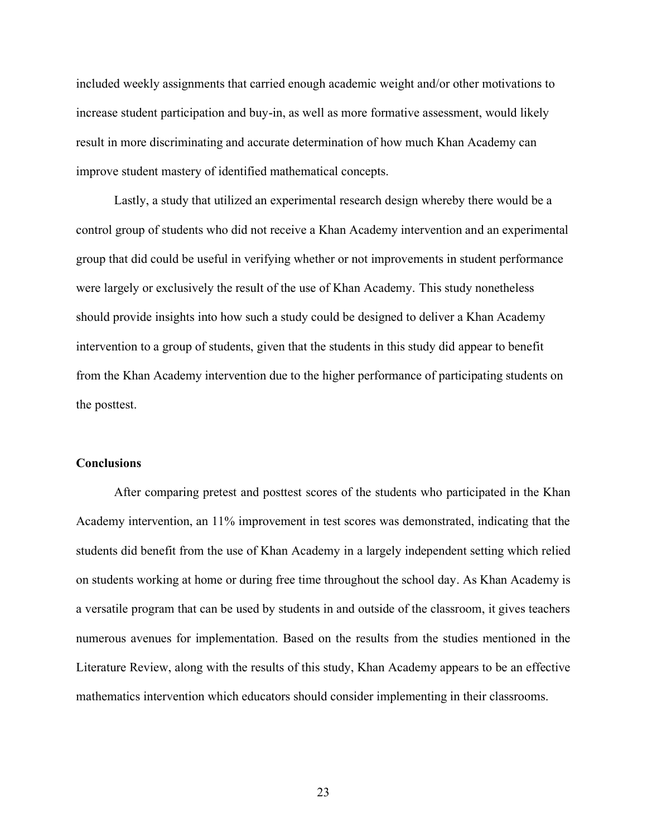included weekly assignments that carried enough academic weight and/or other motivations to increase student participation and buy-in, as well as more formative assessment, would likely result in more discriminating and accurate determination of how much Khan Academy can improve student mastery of identified mathematical concepts.

Lastly, a study that utilized an experimental research design whereby there would be a control group of students who did not receive a Khan Academy intervention and an experimental group that did could be useful in verifying whether or not improvements in student performance were largely or exclusively the result of the use of Khan Academy. This study nonetheless should provide insights into how such a study could be designed to deliver a Khan Academy intervention to a group of students, given that the students in this study did appear to benefit from the Khan Academy intervention due to the higher performance of participating students on the posttest.

#### **Conclusions**

After comparing pretest and posttest scores of the students who participated in the Khan Academy intervention, an 11% improvement in test scores was demonstrated, indicating that the students did benefit from the use of Khan Academy in a largely independent setting which relied on students working at home or during free time throughout the school day. As Khan Academy is a versatile program that can be used by students in and outside of the classroom, it gives teachers numerous avenues for implementation. Based on the results from the studies mentioned in the Literature Review, along with the results of this study, Khan Academy appears to be an effective mathematics intervention which educators should consider implementing in their classrooms.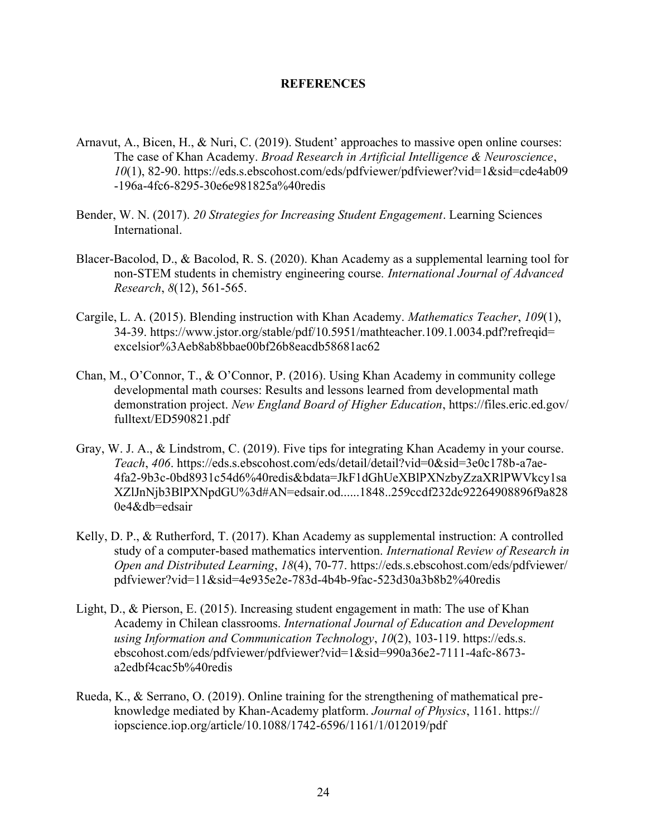#### **REFERENCES**

- Arnavut, A., Bicen, H., & Nuri, C. (2019). Student' approaches to massive open online courses: The case of Khan Academy. *Broad Research in Artificial Intelligence & Neuroscience*, *10*(1), 82-90. https://eds.s.ebscohost.com/eds/pdfviewer/pdfviewer?vid=1&sid=cde4ab09 -196a-4fc6-8295-30e6e981825a%40redis
- Bender, W. N. (2017). *20 Strategies for Increasing Student Engagement*. Learning Sciences International.
- Blacer-Bacolod, D., & Bacolod, R. S. (2020). Khan Academy as a supplemental learning tool for non-STEM students in chemistry engineering course*. International Journal of Advanced Research*, *8*(12), 561-565.
- Cargile, L. A. (2015). Blending instruction with Khan Academy. *Mathematics Teacher*, *109*(1), 34-39. https://www.jstor.org/stable/pdf/10.5951/mathteacher.109.1.0034.pdf?refreqid= excelsior%3Aeb8ab8bbae00bf26b8eacdb58681ac62
- Chan, M., O'Connor, T., & O'Connor, P. (2016). Using Khan Academy in community college developmental math courses: Results and lessons learned from developmental math demonstration project. *New England Board of Higher Education*, https://files.eric.ed.gov/ fulltext/ED590821.pdf
- Gray, W. J. A., & Lindstrom, C. (2019). Five tips for integrating Khan Academy in your course. *Teach*, *406*. https://eds.s.ebscohost.com/eds/detail/detail?vid=0&sid=3e0c178b-a7ae-4fa2-9b3c-0bd8931c54d6%40redis&bdata=JkF1dGhUeXBlPXNzbyZzaXRlPWVkcy1sa XZlJnNjb3BlPXNpdGU%3d#AN=edsair.od......1848..259ccdf232dc92264908896f9a828 0e4&db=edsair
- Kelly, D. P., & Rutherford, T. (2017). Khan Academy as supplemental instruction: A controlled study of a computer-based mathematics intervention. *International Review of Research in Open and Distributed Learning*, *18*(4), 70-77. https://eds.s.ebscohost.com/eds/pdfviewer/ pdfviewer?vid=11&sid=4e935e2e-783d-4b4b-9fac-523d30a3b8b2%40redis
- Light, D., & Pierson, E. (2015). Increasing student engagement in math: The use of Khan Academy in Chilean classrooms. *International Journal of Education and Development using Information and Communication Technology*, *10*(2), 103-119. https://eds.s. ebscohost.com/eds/pdfviewer/pdfviewer?vid=1&sid=990a36e2-7111-4afc-8673 a2edbf4cac5b%40redis
- Rueda, K., & Serrano, O. (2019). Online training for the strengthening of mathematical preknowledge mediated by Khan-Academy platform. *Journal of Physics*, 1161. https:// iopscience.iop.org/article/10.1088/1742-6596/1161/1/012019/pdf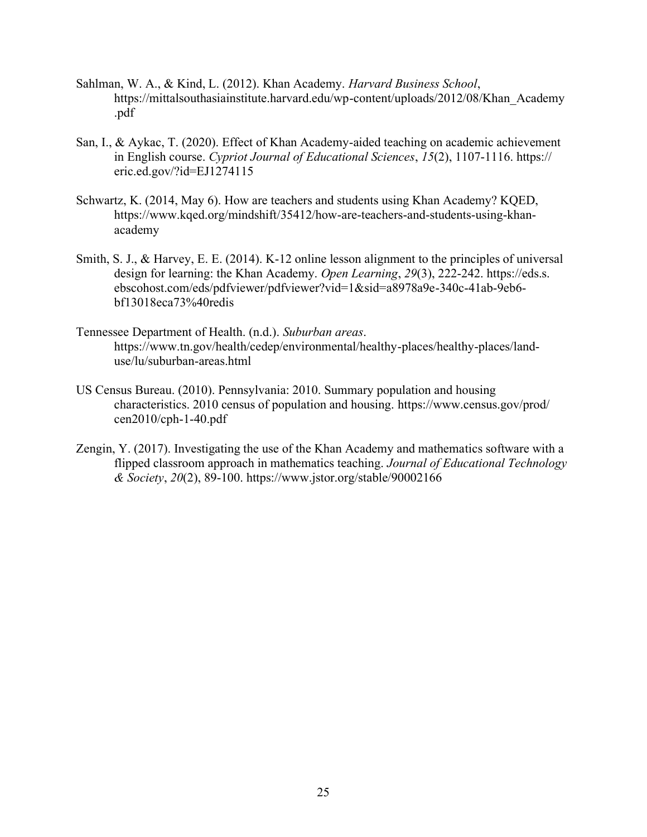- Sahlman, W. A., & Kind, L. (2012). Khan Academy. *Harvard Business School*, https://mittalsouthasiainstitute.harvard.edu/wp-content/uploads/2012/08/Khan\_Academy .pdf
- San, I., & Aykac, T. (2020). Effect of Khan Academy-aided teaching on academic achievement in English course. *Cypriot Journal of Educational Sciences*, *15*(2), 1107-1116. https:// eric.ed.gov/?id=EJ1274115
- Schwartz, K. (2014, May 6). How are teachers and students using Khan Academy? KQED, https://www.kqed.org/mindshift/35412/how-are-teachers-and-students-using-khanacademy
- Smith, S. J., & Harvey, E. E. (2014). K-12 online lesson alignment to the principles of universal design for learning: the Khan Academy. *Open Learning*, *29*(3), 222-242. https://eds.s. ebscohost.com/eds/pdfviewer/pdfviewer?vid=1&sid=a8978a9e-340c-41ab-9eb6 bf13018eca73%40redis
- Tennessee Department of Health. (n.d.). *Suburban areas*. https://www.tn.gov/health/cedep/environmental/healthy-places/healthy-places/landuse/lu/suburban-areas.html
- US Census Bureau. (2010). Pennsylvania: 2010. Summary population and housing characteristics. 2010 census of population and housing. https://www.census.gov/prod/ cen2010/cph-1-40.pdf
- Zengin, Y. (2017). Investigating the use of the Khan Academy and mathematics software with a flipped classroom approach in mathematics teaching. *Journal of Educational Technology & Society*, *20*(2), 89-100. https://www.jstor.org/stable/90002166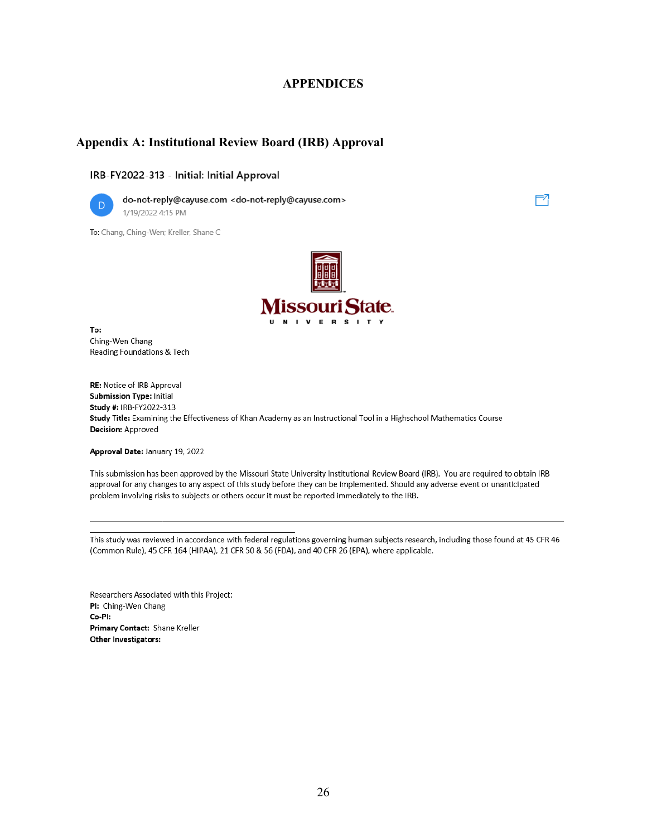### **APPENDICES**

### **Appendix A: Institutional Review Board (IRB) Approval**

#### IRB-FY2022-313 - Initial: Initial Approval



do-not-reply@cayuse.com <do-not-reply@cayuse.com> 1/19/2022 4:15 PM

To: Chang, Ching-Wen; Kreller, Shane C



∹7

To: Ching-Wen Chang Reading Foundations & Tech

RE: Notice of IRB Approval Submission Type: Initial Study #: IRB-FY2022-313 Study Title: Examining the Effectiveness of Khan Academy as an Instructional Tool in a Highschool Mathematics Course **Decision: Approved** 

Approval Date: January 19, 2022

This submission has been approved by the Missouri State University Institutional Review Board (IRB). You are required to obtain IRB approval for any changes to any aspect of this study before they can be implemented. Should any adverse event or unanticipated problem involving risks to subjects or others occur it must be reported immediately to the IRB.

This study was reviewed in accordance with federal regulations governing human subjects research, including those found at 45 CFR 46 (Common Rule), 45 CFR 164 (HIPAA), 21 CFR 50 & 56 (FDA), and 40 CFR 26 (EPA), where applicable.

Researchers Associated with this Project: PI: Ching-Wen Chang Co-Pl: Primary Contact: Shane Kreller Other Investigators: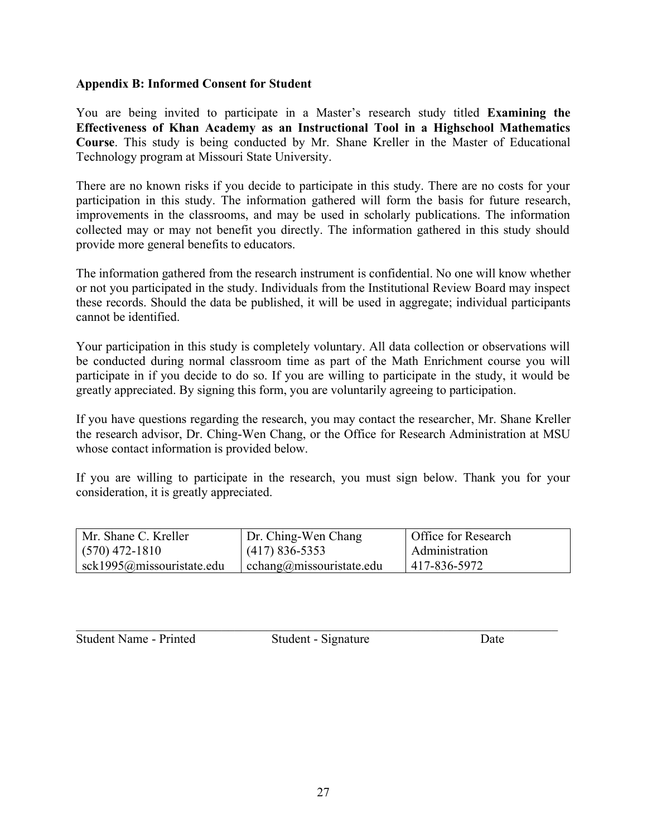## **Appendix B: Informed Consent for Student**

You are being invited to participate in a Master's research study titled **Examining the Effectiveness of Khan Academy as an Instructional Tool in a Highschool Mathematics Course**. This study is being conducted by Mr. Shane Kreller in the Master of Educational Technology program at Missouri State University.

There are no known risks if you decide to participate in this study. There are no costs for your participation in this study. The information gathered will form the basis for future research, improvements in the classrooms, and may be used in scholarly publications. The information collected may or may not benefit you directly. The information gathered in this study should provide more general benefits to educators.

The information gathered from the research instrument is confidential. No one will know whether or not you participated in the study. Individuals from the Institutional Review Board may inspect these records. Should the data be published, it will be used in aggregate; individual participants cannot be identified.

Your participation in this study is completely voluntary. All data collection or observations will be conducted during normal classroom time as part of the Math Enrichment course you will participate in if you decide to do so. If you are willing to participate in the study, it would be greatly appreciated. By signing this form, you are voluntarily agreeing to participation.

If you have questions regarding the research, you may contact the researcher, Mr. Shane Kreller the research advisor, Dr. Ching-Wen Chang, or the Office for Research Administration at MSU whose contact information is provided below.

If you are willing to participate in the research, you must sign below. Thank you for your consideration, it is greatly appreciated.

| Mr. Shane C. Kreller              | Dr. Ching-Wen Chang      | Office for Research |
|-----------------------------------|--------------------------|---------------------|
| $(570)$ 472-1810                  | $(417) 836 - 5353$       | Administration      |
| $\vert$ sck1995@missouristate.edu | cchang@missouristate.edu | 417-836-5972        |

Student Name - Printed Student - Signature Date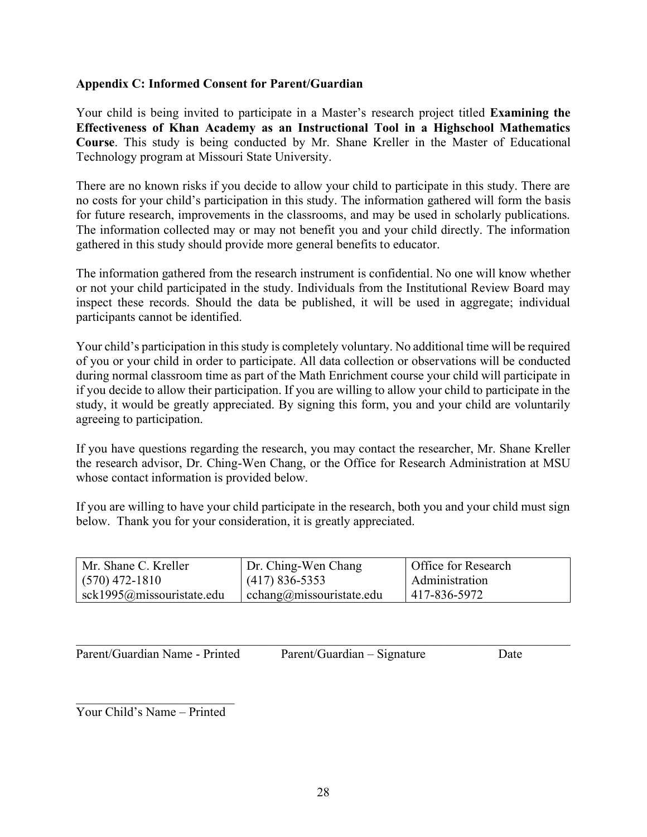## **Appendix C: Informed Consent for Parent/Guardian**

Your child is being invited to participate in a Master's research project titled **Examining the Effectiveness of Khan Academy as an Instructional Tool in a Highschool Mathematics Course**. This study is being conducted by Mr. Shane Kreller in the Master of Educational Technology program at Missouri State University.

There are no known risks if you decide to allow your child to participate in this study. There are no costs for your child's participation in this study. The information gathered will form the basis for future research, improvements in the classrooms, and may be used in scholarly publications. The information collected may or may not benefit you and your child directly. The information gathered in this study should provide more general benefits to educator.

The information gathered from the research instrument is confidential. No one will know whether or not your child participated in the study. Individuals from the Institutional Review Board may inspect these records. Should the data be published, it will be used in aggregate; individual participants cannot be identified.

Your child's participation in this study is completely voluntary. No additional time will be required of you or your child in order to participate. All data collection or observations will be conducted during normal classroom time as part of the Math Enrichment course your child will participate in if you decide to allow their participation. If you are willing to allow your child to participate in the study, it would be greatly appreciated. By signing this form, you and your child are voluntarily agreeing to participation.

If you have questions regarding the research, you may contact the researcher, Mr. Shane Kreller the research advisor, Dr. Ching-Wen Chang, or the Office for Research Administration at MSU whose contact information is provided below.

If you are willing to have your child participate in the research, both you and your child must sign below. Thank you for your consideration, it is greatly appreciated.

| Mr. Shane C. Kreller              | Dr. Ching-Wen Chang      | Office for Research |
|-----------------------------------|--------------------------|---------------------|
| $(570)$ 472-1810                  | $(417) 836 - 5353$       | Administration      |
| $\vert$ sck1995@missouristate.edu | cchang@missouristate.edu | 417-836-5972        |

| Parent/Guardian Name - Printed | Parent/Guardian – Signature | Date |
|--------------------------------|-----------------------------|------|
|                                |                             |      |

Your Child's Name – Printed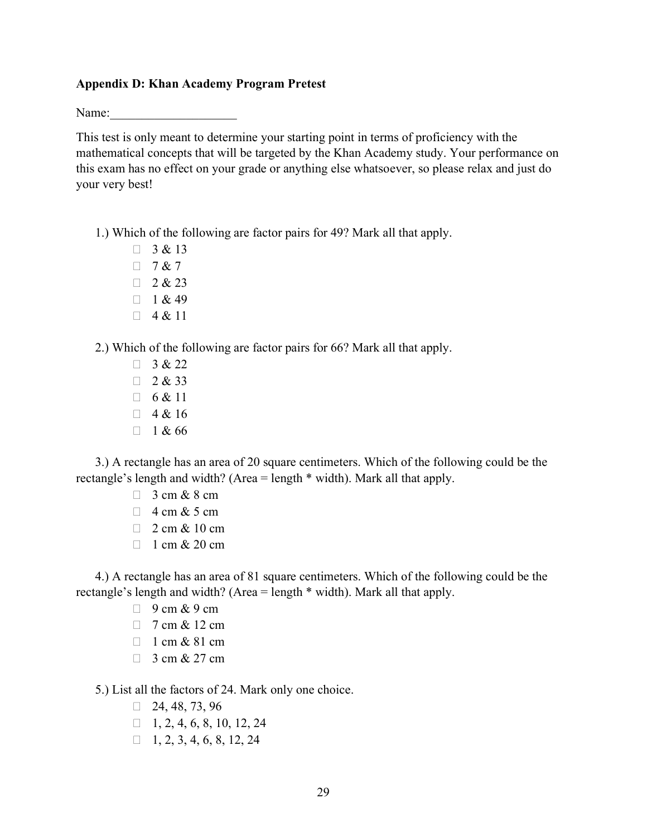#### **Appendix D: Khan Academy Program Pretest**

Name:

This test is only meant to determine your starting point in terms of proficiency with the mathematical concepts that will be targeted by the Khan Academy study. Your performance on this exam has no effect on your grade or anything else whatsoever, so please relax and just do your very best!

1.) Which of the following are factor pairs for 49? Mark all that apply.

- $\begin{array}{ccc} \square & 3 & 8 & 13 \end{array}$  $\begin{array}{ccc} \square & 7 & 8 & 7 \end{array}$
- $2 & 23$
- $\Box$  1 & 49
- $\Box$  4 & 11

2.) Which of the following are factor pairs for 66? Mark all that apply.

 $\begin{array}{ccc} \mathbf{1} & 3 & 8 & 22 \end{array}$  $\begin{array}{ccc} \square & 2 & 4 & 33 \end{array}$  $\Box$  6 & 11  $\begin{array}{ccc} \square & 4 & \& 16 \end{array}$  $\begin{array}{ccc} \square & 1 & 4 \\ 6 & 6 \end{array}$ 

3.) A rectangle has an area of 20 square centimeters. Which of the following could be the rectangle's length and width? (Area = length \* width). Mark all that apply.

- $\Box$  3 cm & 8 cm
- $\Box$  4 cm & 5 cm
- $\Box$  2 cm & 10 cm
- $\Box$  1 cm & 20 cm

4.) A rectangle has an area of 81 square centimeters. Which of the following could be the rectangle's length and width? (Area = length \* width). Mark all that apply.

- $\Box$  9 cm & 9 cm
- $\Box$  7 cm & 12 cm
- $\Box$  1 cm & 81 cm
- $\Box$  3 cm & 27 cm

5.) List all the factors of 24. Mark only one choice.

- $\Box$  24, 48, 73, 96
- $\Box$  1, 2, 4, 6, 8, 10, 12, 24
- $\Box$  1, 2, 3, 4, 6, 8, 12, 24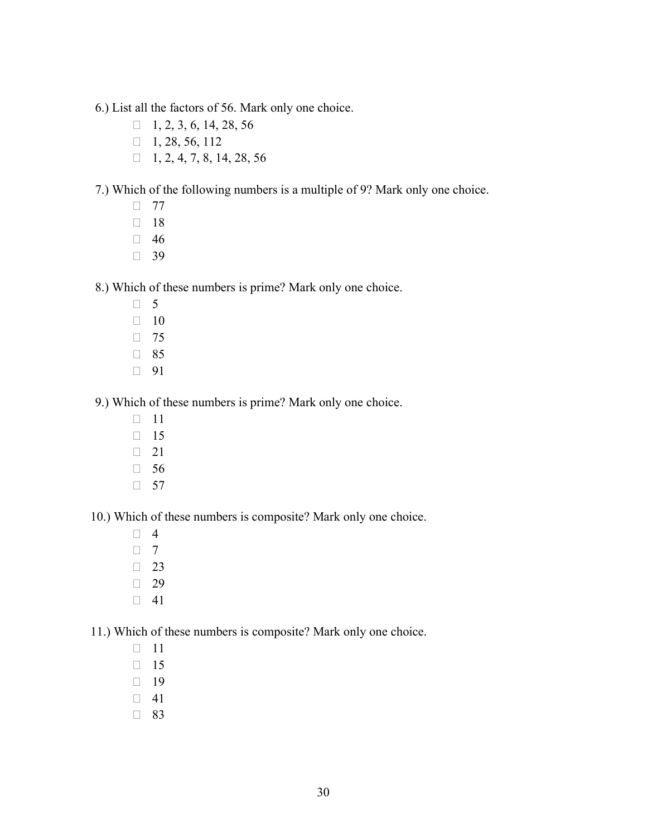6.) List all the factors of 56. Mark only one choice.

- $\Box$  1, 2, 3, 6, 14, 28, 56
- $1, 28, 56, 112$
- $\Box$  1, 2, 4, 7, 8, 14, 28, 56

7.) Which of the following numbers is a multiple of 9? Mark only one choice.

- $\Box$  77
- $\Box$  18
- $\Box$  46
- $\Box$  39

8.) Which of these numbers is prime? Mark only one choice.

- $\Box$  5
- $\Box$  10
- $\Box$  75
- □ 85
- □ 91

9.) Which of these numbers is prime? Mark only one choice.

- $\Box$  11
- $\Box$  15
- $\Box$  21
- $\Box$  56
- $\Box$  57

10.) Which of these numbers is composite? Mark only one choice.

- $\Box$  4
- $\Box$  7
- $\Box$  23
- $\Box$  29
- $\Box$  41

11.) Which of these numbers is composite? Mark only one choice.

- $\Box$  11
- $\Box$  15
- $\Box$  19
- $\Box$  41
- □ 83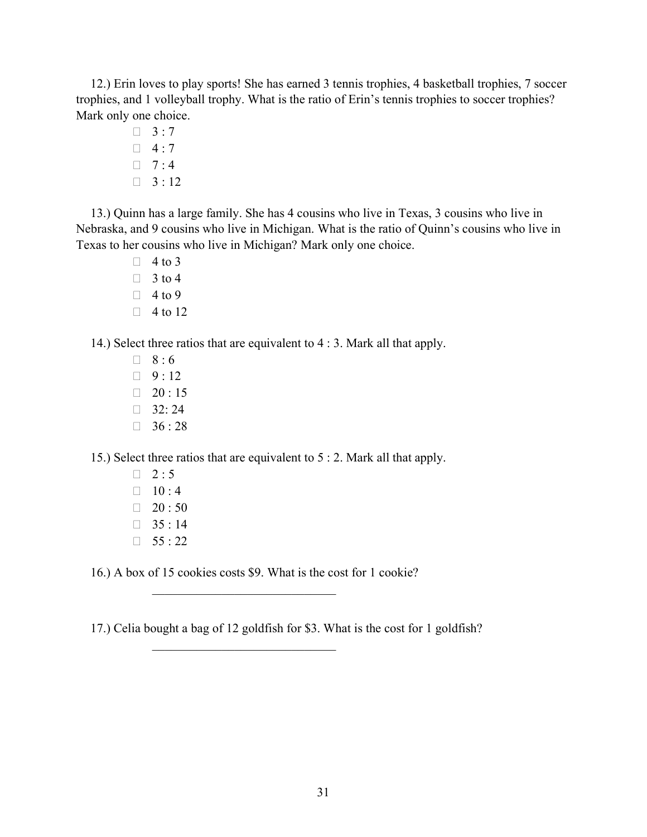12.) Erin loves to play sports! She has earned 3 tennis trophies, 4 basketball trophies, 7 soccer trophies, and 1 volleyball trophy. What is the ratio of Erin's tennis trophies to soccer trophies? Mark only one choice.

> $\Box$  3:7  $\Box$  4:7  $\Box$  7:4  $\Box$  3 : 12

13.) Quinn has a large family. She has 4 cousins who live in Texas, 3 cousins who live in Nebraska, and 9 cousins who live in Michigan. What is the ratio of Quinn's cousins who live in Texas to her cousins who live in Michigan? Mark only one choice.

> $\Box$  4 to 3  $\Box$  3 to 4  $\Box$  4 to 9  $\Box$  4 to 12

14.) Select three ratios that are equivalent to 4 : 3. Mark all that apply.

 $\Box$  8:6  $9:12$  $120 : 15$  $\Box$  32: 24  $36:28$ 

15.) Select three ratios that are equivalent to 5 : 2. Mark all that apply.

- $\Box$  2:5  $\Box$  10 : 4  $120:50$
- $35 : 14$
- $155 : 22$

16.) A box of 15 cookies costs \$9. What is the cost for 1 cookie?

17.) Celia bought a bag of 12 goldfish for \$3. What is the cost for 1 goldfish?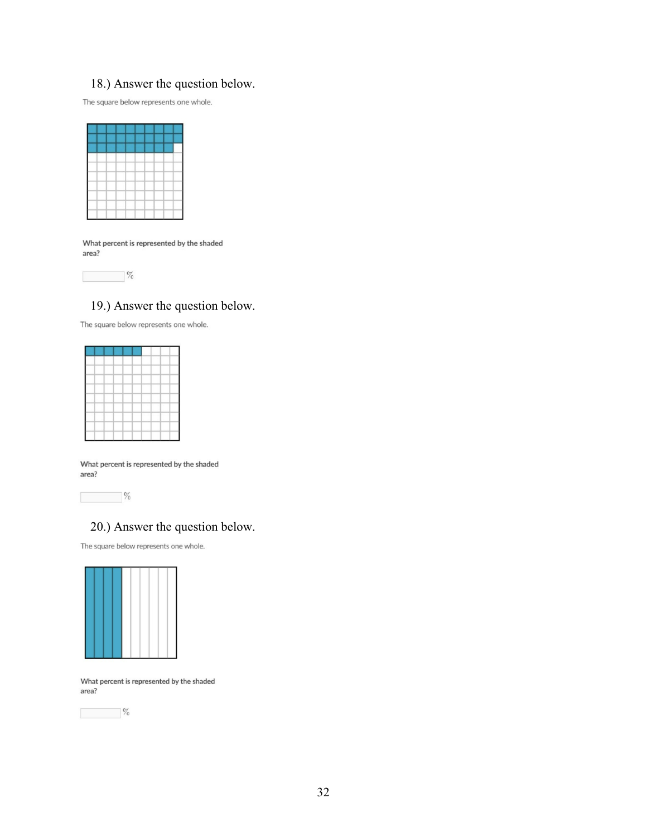# 18.) Answer the question below.

The square below represents one whole.

|   |                   | and the second            |     |     |  |
|---|-------------------|---------------------------|-----|-----|--|
|   |                   |                           |     |     |  |
|   |                   | ₹                         |     | - 1 |  |
|   |                   | and the state of the con- | - 1 | --  |  |
|   | -<br>-            | -<br>---                  |     |     |  |
| w |                   |                           |     |     |  |
|   | .                 | --<br>--                  |     |     |  |
|   | <b>Contractor</b> |                           |     |     |  |
|   |                   |                           |     |     |  |

What percent is represented by the shaded area?



# 19.) Answer the question below.

The square below represents one whole.

|            | $\begin{tabular}{c} \multicolumn{1}{c} {\textbf{1}} & \multicolumn{1}{c} {\textbf{1}} & \multicolumn{1}{c} {\textbf{1}} \\ \multicolumn{1}{c} {\textbf{1}} & \multicolumn{1}{c} {\textbf{1}} & \multicolumn{1}{c} {\textbf{1}} \\ \multicolumn{1}{c} {\textbf{1}} & \multicolumn{1}{c} {\textbf{1}} & \multicolumn{1}{c} {\textbf{1}} \\ \multicolumn{1}{c} {\textbf{1}} & \multicolumn{1}{c} {\textbf{1}} & \multicolumn{1}{c} {\textbf{1}} \\ \multicolumn{1}{c} {\textbf{1}} & \multicolumn$ | the contract of the contract of                           | the property of the state of the co- |  |
|------------|-------------------------------------------------------------------------------------------------------------------------------------------------------------------------------------------------------------------------------------------------------------------------------------------------------------------------------------------------------------------------------------------------------------------------------------------------------------------------------------------------|-----------------------------------------------------------|--------------------------------------|--|
|            |                                                                                                                                                                                                                                                                                                                                                                                                                                                                                                 |                                                           |                                      |  |
|            |                                                                                                                                                                                                                                                                                                                                                                                                                                                                                                 |                                                           |                                      |  |
|            |                                                                                                                                                                                                                                                                                                                                                                                                                                                                                                 |                                                           |                                      |  |
| —          | and the first state of                                                                                                                                                                                                                                                                                                                                                                                                                                                                          | $- -$                                                     | .                                    |  |
| o est<br>- |                                                                                                                                                                                                                                                                                                                                                                                                                                                                                                 | the property of the property of the property of<br>$\sim$ | the control of the con-              |  |
|            |                                                                                                                                                                                                                                                                                                                                                                                                                                                                                                 |                                                           |                                      |  |
| -          |                                                                                                                                                                                                                                                                                                                                                                                                                                                                                                 |                                                           |                                      |  |
|            |                                                                                                                                                                                                                                                                                                                                                                                                                                                                                                 |                                                           |                                      |  |

What percent is represented by the shaded area?

 $\frac{1}{2}$ 

# 20.) Answer the question below.

The square below represents one whole.



What percent is represented by the shaded area?

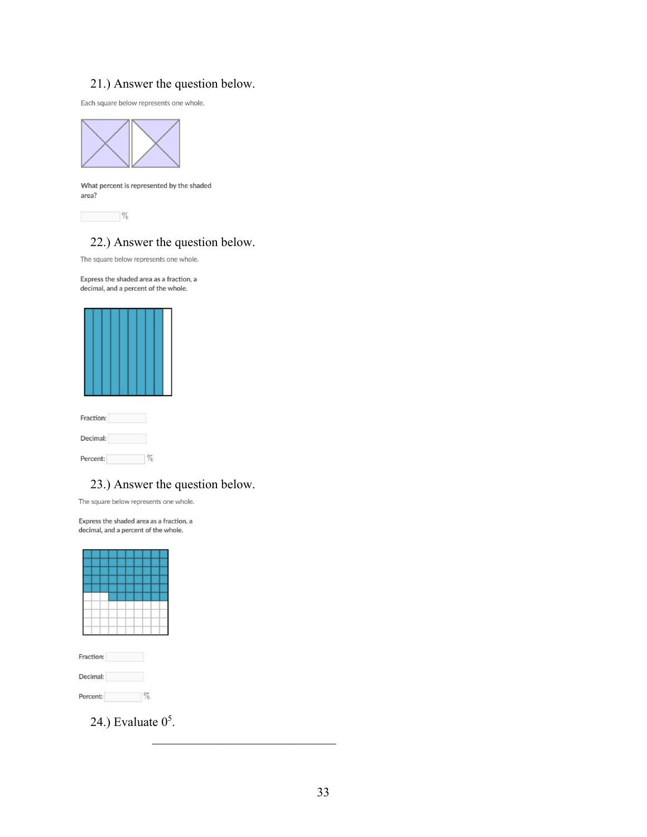# 21.) Answer the question below.

Each square below represents one whole.



What percent is represented by the shaded area?

 $\%$ 

# 22.) Answer the question below.

The square below represents one whole.

Express the shaded area as a fraction, a decimal, and a percent of the whole.



| Decimal: |  |
|----------|--|
| Percent: |  |

## 23.) Answer the question below.

The square below represents one whole.

Express the shaded area as a fraction, a decimal, and a percent of the whole.



Percent:  $$\%$ 

24.) Evaluate  $0<sup>5</sup>$ .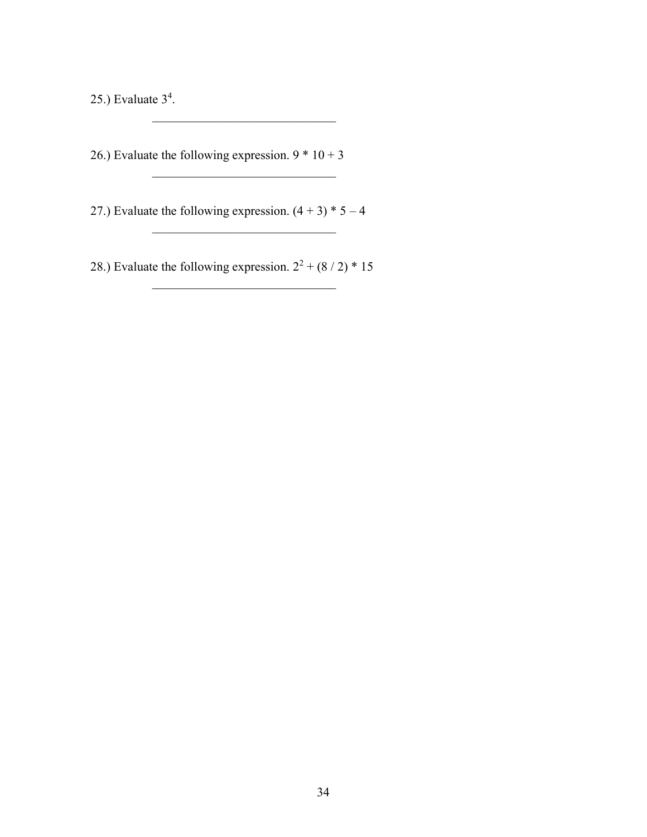25.) Evaluate  $3<sup>4</sup>$ .

26.) Evaluate the following expression.  $9 * 10 + 3$ 

27.) Evaluate the following expression.  $(4 + 3) * 5 - 4$ 

 $\overline{\phantom{a}}$  , where  $\overline{\phantom{a}}$ 

 $\mathcal{L}_\text{max}$  , which is a set of the set of the set of the set of the set of the set of the set of the set of the set of the set of the set of the set of the set of the set of the set of the set of the set of the set of

28.) Evaluate the following expression.  $2^2 + (8/2) * 15$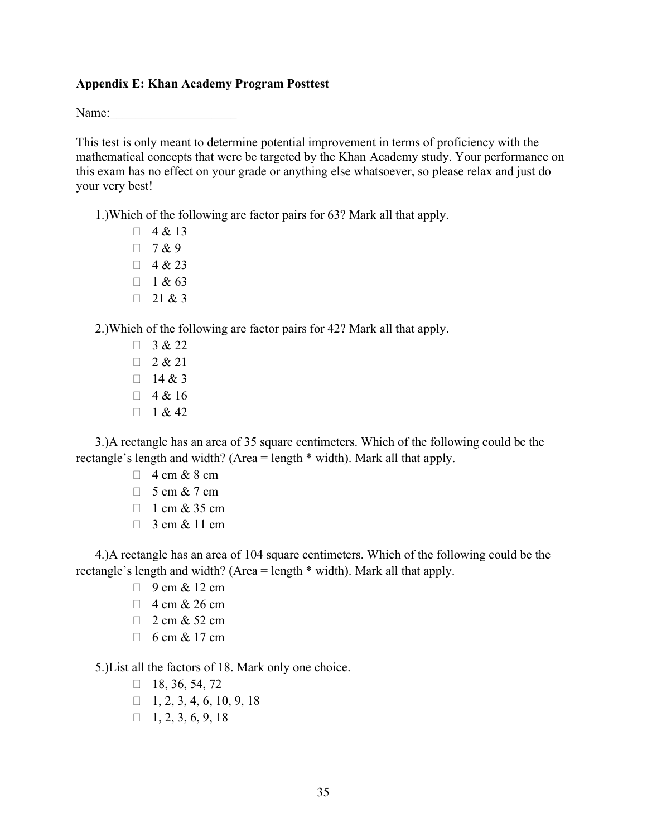#### **Appendix E: Khan Academy Program Posttest**

Name:

This test is only meant to determine potential improvement in terms of proficiency with the mathematical concepts that were be targeted by the Khan Academy study. Your performance on this exam has no effect on your grade or anything else whatsoever, so please relax and just do your very best!

1.)Which of the following are factor pairs for 63? Mark all that apply.

 $\Box$  4 & 13  $7 & 9$  $\Box$  4 & 23  $\Box$  1 & 63  $\Box$  21 & 3

2.)Which of the following are factor pairs for 42? Mark all that apply.

 $\begin{array}{ccc} \mathbf{1} & 3 & 8 & 22 \end{array}$  $2 & 21$  $\Box$  14 & 3  $\begin{array}{ccc} \square & 4 & \& 16 \end{array}$  $1 & 42$ 

3.)A rectangle has an area of 35 square centimeters. Which of the following could be the rectangle's length and width? (Area = length \* width). Mark all that apply.

- $\Box$  4 cm & 8 cm
- $\Box$  5 cm & 7 cm
- $\Box$  1 cm & 35 cm
- $\Box$  3 cm & 11 cm

4.)A rectangle has an area of 104 square centimeters. Which of the following could be the rectangle's length and width? (Area = length \* width). Mark all that apply.

- $\Box$  9 cm & 12 cm
- $\Box$  4 cm & 26 cm
- $\Box$  2 cm & 52 cm
- $\Box$  6 cm & 17 cm

5.)List all the factors of 18. Mark only one choice.

- $\Box$  18, 36, 54, 72
- $\Box$  1, 2, 3, 4, 6, 10, 9, 18
- $\Box$  1, 2, 3, 6, 9, 18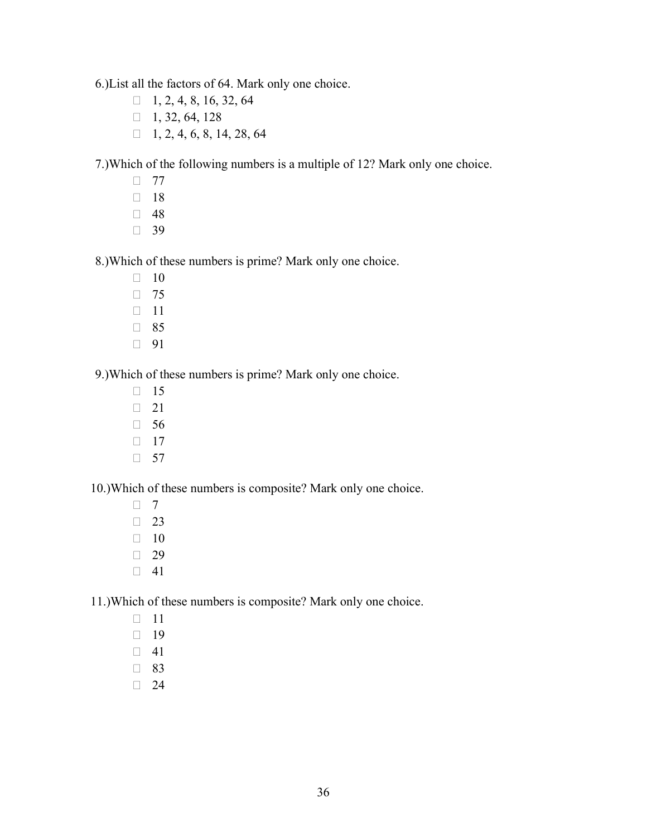6.)List all the factors of 64. Mark only one choice.

- $\Box$  1, 2, 4, 8, 16, 32, 64
- $1, 32, 64, 128$
- $\Box$  1, 2, 4, 6, 8, 14, 28, 64

7.)Which of the following numbers is a multiple of 12? Mark only one choice.

- $\Box$  77
- $\Box$  18
- $\Box$  48
- $\Box$  39

8.)Which of these numbers is prime? Mark only one choice.

- $\Box$  10
- $\Box$  75
- $\Box$  11
- □ 85
- □ 91

9.)Which of these numbers is prime? Mark only one choice.

- $\Box$  15
- $\Box$  21
- $\Box$  56
- $\Box$  17
- $\Box$  57

10.)Which of these numbers is composite? Mark only one choice.

- $\Box$  7
- $\Box$  23  $\Box$  10
- 
- $\Box$  29
- $\Box$  41

11.)Which of these numbers is composite? Mark only one choice.

- $\Box$  11
- $\Box$  19
- $\Box$  41
- □ 83
- $\Box$  24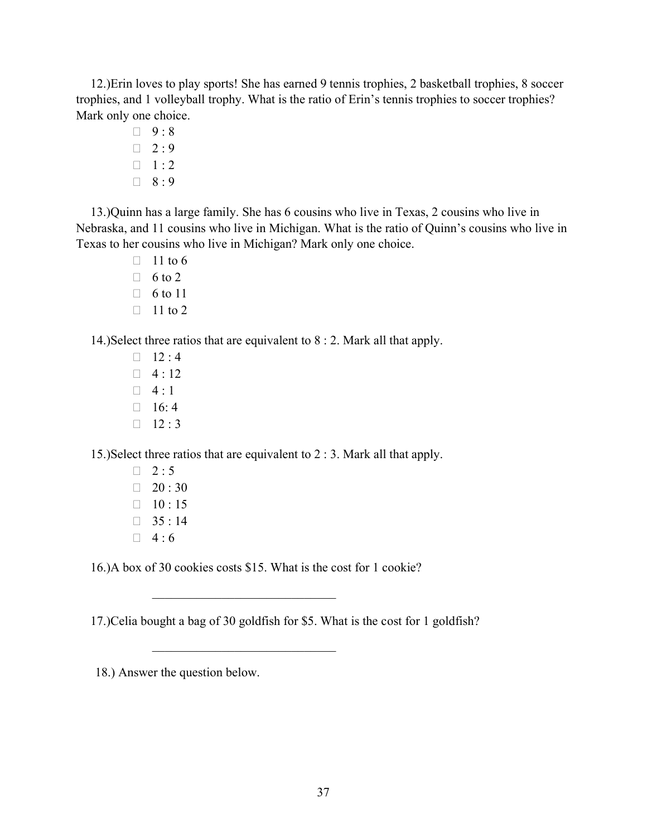12.)Erin loves to play sports! She has earned 9 tennis trophies, 2 basketball trophies, 8 soccer trophies, and 1 volleyball trophy. What is the ratio of Erin's tennis trophies to soccer trophies? Mark only one choice.

> $9:8$  $\Box$  2:9  $\Box$  1 : 2  $\Box$  8:9

13.)Quinn has a large family. She has 6 cousins who live in Texas, 2 cousins who live in Nebraska, and 11 cousins who live in Michigan. What is the ratio of Quinn's cousins who live in Texas to her cousins who live in Michigan? Mark only one choice.

- $\Box$  11 to 6
- $\Box$  6 to 2
- $\Box$  6 to 11
- $\Box$  11 to 2

14.)Select three ratios that are equivalent to 8 : 2. Mark all that apply.

 $\Box$  12 : 4  $\Box$  4:12  $\Box$  4 : 1  $\Box$  16: 4  $\Box$  12 : 3

15.)Select three ratios that are equivalent to 2 : 3. Mark all that apply.

 $\Box$  2:5  $120:30$  $\Box$  10 : 15  $35:14$  $\Box$  4:6

16.)A box of 30 cookies costs \$15. What is the cost for 1 cookie?

 $\mathcal{L}_\text{max}$  , where  $\mathcal{L}_\text{max}$  and  $\mathcal{L}_\text{max}$ 

17.)Celia bought a bag of 30 goldfish for \$5. What is the cost for 1 goldfish?

18.) Answer the question below.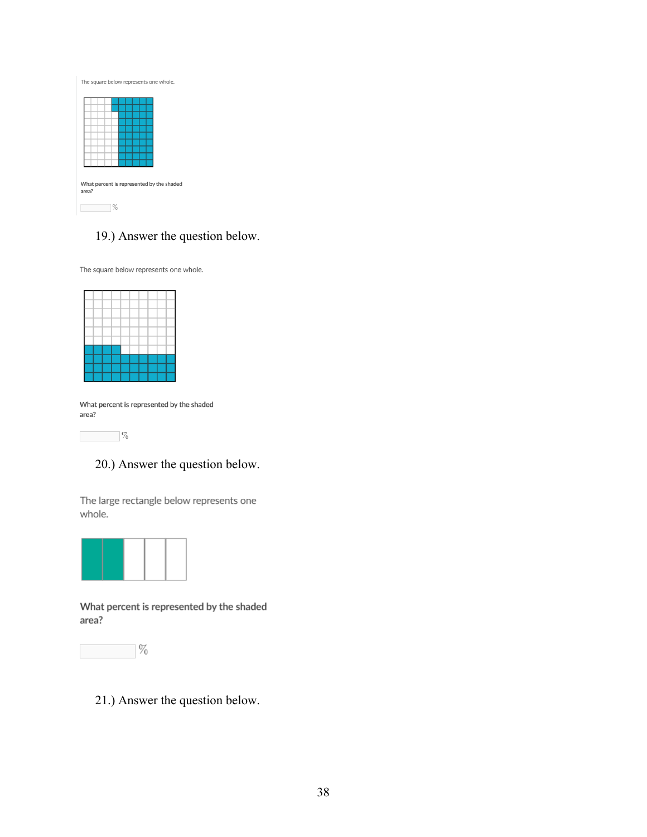| The square below represents one whole. |  |  |  |  |  |  |                                           |  |
|----------------------------------------|--|--|--|--|--|--|-------------------------------------------|--|
|                                        |  |  |  |  |  |  |                                           |  |
|                                        |  |  |  |  |  |  |                                           |  |
|                                        |  |  |  |  |  |  |                                           |  |
|                                        |  |  |  |  |  |  |                                           |  |
| area?                                  |  |  |  |  |  |  | What percent is represented by the shaded |  |
|                                        |  |  |  |  |  |  |                                           |  |

# 19.) Answer the question below.

The square below represents one whole.

What percent is represented by the shaded area?



## 20.) Answer the question below.

The large rectangle below represents one whole.



What percent is represented by the shaded area?



21.) Answer the question below.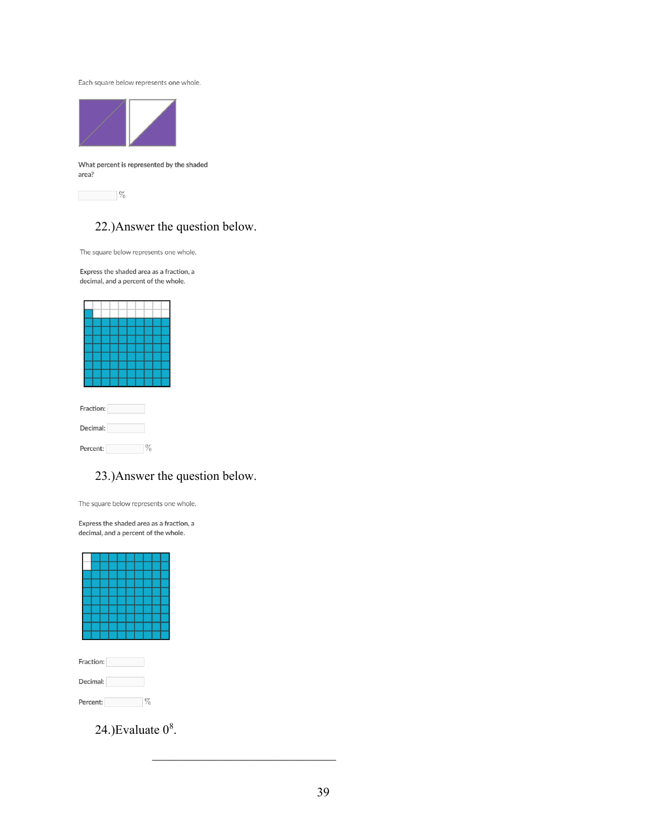Each square below represents one whole.



What percent is represented by the shaded area?

 $\sim$   $\%$ 

## 22.)Answer the question below.

The square below represents one whole.

Express the shaded area as a fraction, a decimal, and a percent of the whole.

|          | Fraction: |  |  |  |  |  |      |  |  |  |  |
|----------|-----------|--|--|--|--|--|------|--|--|--|--|
| Decimal: |           |  |  |  |  |  |      |  |  |  |  |
| Percent: |           |  |  |  |  |  | $\%$ |  |  |  |  |

## 23.)Answer the question below.

The square below represents one whole.

Express the shaded area as a fraction, a decimal, and a percent of the whole.



24.)Evaluate  $0^8$ .